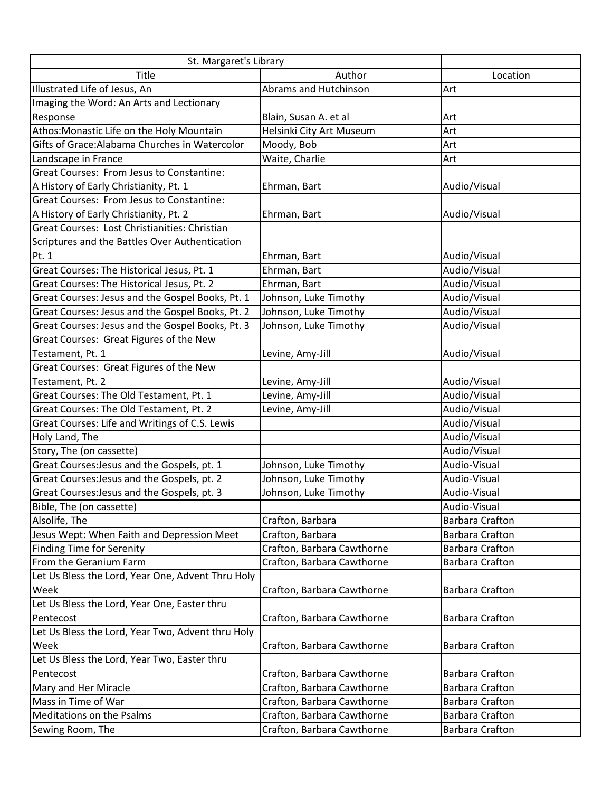| St. Margaret's Library                            |                            |                        |
|---------------------------------------------------|----------------------------|------------------------|
| Title                                             | Author                     | Location               |
| Illustrated Life of Jesus, An                     | Abrams and Hutchinson      | Art                    |
| Imaging the Word: An Arts and Lectionary          |                            |                        |
| Response                                          | Blain, Susan A. et al      | Art                    |
| Athos: Monastic Life on the Holy Mountain         | Helsinki City Art Museum   | Art                    |
| Gifts of Grace: Alabama Churches in Watercolor    | Moody, Bob                 | Art                    |
| Landscape in France                               | Waite, Charlie             | Art                    |
| Great Courses: From Jesus to Constantine:         |                            |                        |
| A History of Early Christianity, Pt. 1            | Ehrman, Bart               | Audio/Visual           |
| Great Courses: From Jesus to Constantine:         |                            |                        |
| A History of Early Christianity, Pt. 2            | Ehrman, Bart               | Audio/Visual           |
| Great Courses: Lost Christianities: Christian     |                            |                        |
| Scriptures and the Battles Over Authentication    |                            |                        |
| Pt. 1                                             | Ehrman, Bart               | Audio/Visual           |
| Great Courses: The Historical Jesus, Pt. 1        | Ehrman, Bart               | Audio/Visual           |
| Great Courses: The Historical Jesus, Pt. 2        | Ehrman, Bart               | Audio/Visual           |
| Great Courses: Jesus and the Gospel Books, Pt. 1  | Johnson, Luke Timothy      | Audio/Visual           |
| Great Courses: Jesus and the Gospel Books, Pt. 2  | Johnson, Luke Timothy      | Audio/Visual           |
| Great Courses: Jesus and the Gospel Books, Pt. 3  | Johnson, Luke Timothy      | Audio/Visual           |
| Great Courses: Great Figures of the New           |                            |                        |
| Testament, Pt. 1                                  | Levine, Amy-Jill           | Audio/Visual           |
| Great Courses: Great Figures of the New           |                            |                        |
| Testament, Pt. 2                                  | Levine, Amy-Jill           | Audio/Visual           |
| Great Courses: The Old Testament, Pt. 1           | Levine, Amy-Jill           | Audio/Visual           |
| Great Courses: The Old Testament, Pt. 2           | Levine, Amy-Jill           | Audio/Visual           |
| Great Courses: Life and Writings of C.S. Lewis    |                            | Audio/Visual           |
| Holy Land, The                                    |                            | Audio/Visual           |
| Story, The (on cassette)                          |                            | Audio/Visual           |
| Great Courses: Jesus and the Gospels, pt. 1       | Johnson, Luke Timothy      | Audio-Visual           |
| Great Courses: Jesus and the Gospels, pt. 2       | Johnson, Luke Timothy      | Audio-Visual           |
| Great Courses: Jesus and the Gospels, pt. 3       | Johnson, Luke Timothy      | Audio-Visual           |
| Bible, The (on cassette)                          |                            | Audio-Visual           |
| Alsolife, The                                     | Crafton, Barbara           | <b>Barbara Crafton</b> |
| Jesus Wept: When Faith and Depression Meet        | Crafton, Barbara           | <b>Barbara Crafton</b> |
| <b>Finding Time for Serenity</b>                  | Crafton, Barbara Cawthorne | <b>Barbara Crafton</b> |
| From the Geranium Farm                            | Crafton, Barbara Cawthorne | <b>Barbara Crafton</b> |
| Let Us Bless the Lord, Year One, Advent Thru Holy |                            |                        |
| Week                                              | Crafton, Barbara Cawthorne | <b>Barbara Crafton</b> |
| Let Us Bless the Lord, Year One, Easter thru      |                            |                        |
| Pentecost                                         | Crafton, Barbara Cawthorne | <b>Barbara Crafton</b> |
| Let Us Bless the Lord, Year Two, Advent thru Holy |                            |                        |
| Week                                              | Crafton, Barbara Cawthorne | <b>Barbara Crafton</b> |
| Let Us Bless the Lord, Year Two, Easter thru      |                            |                        |
| Pentecost                                         | Crafton, Barbara Cawthorne | <b>Barbara Crafton</b> |
| Mary and Her Miracle                              | Crafton, Barbara Cawthorne | <b>Barbara Crafton</b> |
| Mass in Time of War                               | Crafton, Barbara Cawthorne | <b>Barbara Crafton</b> |
| <b>Meditations on the Psalms</b>                  | Crafton, Barbara Cawthorne | <b>Barbara Crafton</b> |
| Sewing Room, The                                  | Crafton, Barbara Cawthorne | <b>Barbara Crafton</b> |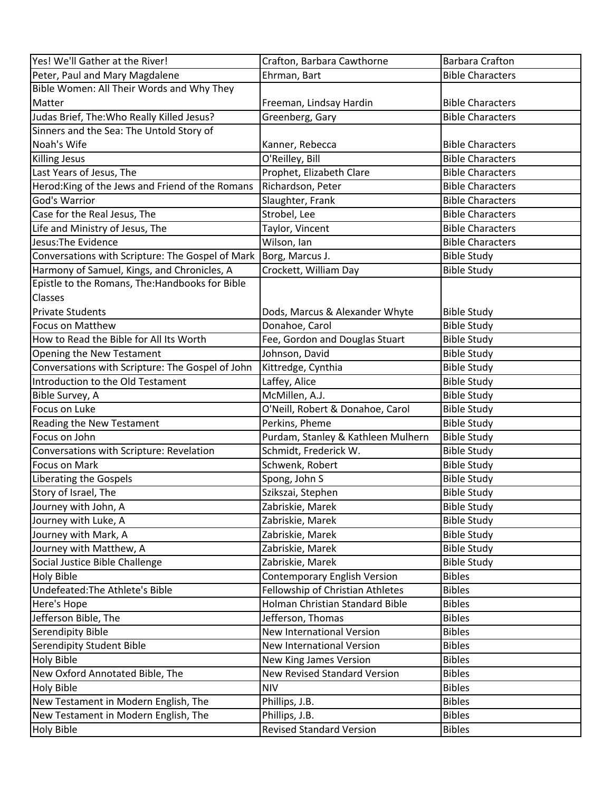| Yes! We'll Gather at the River!                  | Crafton, Barbara Cawthorne          | <b>Barbara Crafton</b>  |
|--------------------------------------------------|-------------------------------------|-------------------------|
| Peter, Paul and Mary Magdalene                   | Ehrman, Bart                        | <b>Bible Characters</b> |
| Bible Women: All Their Words and Why They        |                                     |                         |
| Matter                                           | Freeman, Lindsay Hardin             | <b>Bible Characters</b> |
| Judas Brief, The: Who Really Killed Jesus?       | Greenberg, Gary                     | <b>Bible Characters</b> |
| Sinners and the Sea: The Untold Story of         |                                     |                         |
| Noah's Wife                                      | Kanner, Rebecca                     | <b>Bible Characters</b> |
| Killing Jesus                                    | O'Reilley, Bill                     | <b>Bible Characters</b> |
| Last Years of Jesus, The                         | Prophet, Elizabeth Clare            | <b>Bible Characters</b> |
| Herod: King of the Jews and Friend of the Romans | Richardson, Peter                   | <b>Bible Characters</b> |
| God's Warrior                                    | Slaughter, Frank                    | <b>Bible Characters</b> |
| Case for the Real Jesus, The                     | Strobel, Lee                        | <b>Bible Characters</b> |
| Life and Ministry of Jesus, The                  | Taylor, Vincent                     | <b>Bible Characters</b> |
| Jesus: The Evidence                              | Wilson, Ian                         | <b>Bible Characters</b> |
| Conversations with Scripture: The Gospel of Mark | Borg, Marcus J.                     | <b>Bible Study</b>      |
| Harmony of Samuel, Kings, and Chronicles, A      | Crockett, William Day               | <b>Bible Study</b>      |
| Epistle to the Romans, The:Handbooks for Bible   |                                     |                         |
| <b>Classes</b>                                   |                                     |                         |
| <b>Private Students</b>                          | Dods, Marcus & Alexander Whyte      | <b>Bible Study</b>      |
| <b>Focus on Matthew</b>                          | Donahoe, Carol                      | <b>Bible Study</b>      |
| How to Read the Bible for All Its Worth          | Fee, Gordon and Douglas Stuart      | <b>Bible Study</b>      |
| Opening the New Testament                        | Johnson, David                      | <b>Bible Study</b>      |
| Conversations with Scripture: The Gospel of John | Kittredge, Cynthia                  | <b>Bible Study</b>      |
| Introduction to the Old Testament                | Laffey, Alice                       | <b>Bible Study</b>      |
| Bible Survey, A                                  | McMillen, A.J.                      | <b>Bible Study</b>      |
| Focus on Luke                                    | O'Neill, Robert & Donahoe, Carol    | <b>Bible Study</b>      |
| Reading the New Testament                        | Perkins, Pheme                      | <b>Bible Study</b>      |
| Focus on John                                    | Purdam, Stanley & Kathleen Mulhern  | <b>Bible Study</b>      |
| Conversations with Scripture: Revelation         | Schmidt, Frederick W.               | <b>Bible Study</b>      |
| Focus on Mark                                    | Schwenk, Robert                     | <b>Bible Study</b>      |
| Liberating the Gospels                           | Spong, John S                       | <b>Bible Study</b>      |
| Story of Israel, The                             | Szikszai, Stephen                   | <b>Bible Study</b>      |
| Journey with John, A                             | Zabriskie, Marek                    | <b>Bible Study</b>      |
| Journey with Luke, A                             | Zabriskie, Marek                    | <b>Bible Study</b>      |
| Journey with Mark, A                             | Zabriskie, Marek                    | <b>Bible Study</b>      |
| Journey with Matthew, A                          | Zabriskie, Marek                    | <b>Bible Study</b>      |
| Social Justice Bible Challenge                   | Zabriskie, Marek                    | <b>Bible Study</b>      |
| Holy Bible                                       | <b>Contemporary English Version</b> | <b>Bibles</b>           |
| Undefeated: The Athlete's Bible                  | Fellowship of Christian Athletes    | <b>Bibles</b>           |
| Here's Hope                                      | Holman Christian Standard Bible     | <b>Bibles</b>           |
| Jefferson Bible, The                             | Jefferson, Thomas                   | <b>Bibles</b>           |
| Serendipity Bible                                | <b>New International Version</b>    | <b>Bibles</b>           |
| Serendipity Student Bible                        | <b>New International Version</b>    | <b>Bibles</b>           |
| <b>Holy Bible</b>                                | New King James Version              | <b>Bibles</b>           |
| New Oxford Annotated Bible, The                  | <b>New Revised Standard Version</b> | <b>Bibles</b>           |
| Holy Bible                                       | <b>NIV</b>                          | <b>Bibles</b>           |
| New Testament in Modern English, The             | Phillips, J.B.                      | <b>Bibles</b>           |
| New Testament in Modern English, The             | Phillips, J.B.                      | <b>Bibles</b>           |
| Holy Bible                                       | <b>Revised Standard Version</b>     | <b>Bibles</b>           |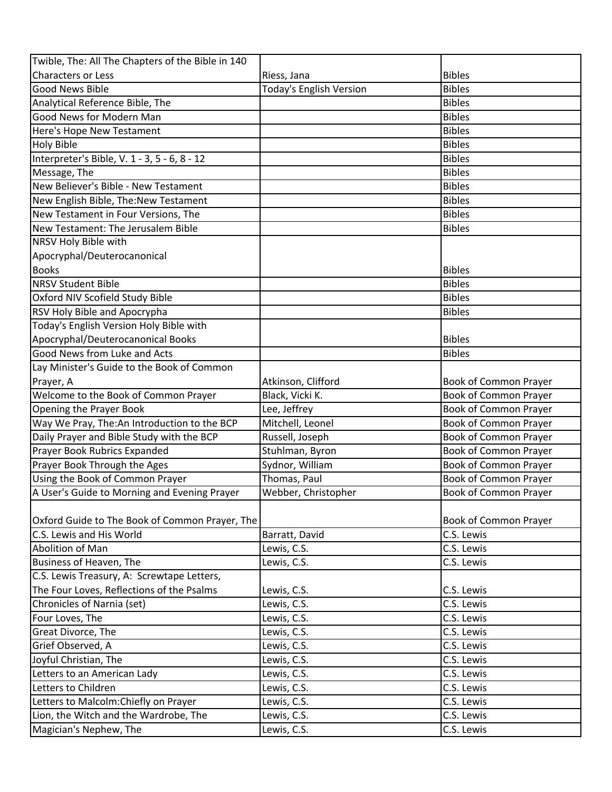| <b>Characters or Less</b><br><b>Bibles</b><br>Riess, Jana<br><b>Today's English Version</b><br><b>Bibles</b><br><b>Good News Bible</b><br>Analytical Reference Bible, The<br><b>Bibles</b><br>Good News for Modern Man<br><b>Bibles</b><br><b>Bibles</b><br>Here's Hope New Testament<br><b>Bibles</b><br><b>Holy Bible</b><br>Interpreter's Bible, V. 1 - 3, 5 - 6, 8 - 12<br><b>Bibles</b><br>Message, The<br><b>Bibles</b><br>New Believer's Bible - New Testament<br><b>Bibles</b><br><b>Bibles</b><br>New English Bible, The:New Testament<br>New Testament in Four Versions, The<br><b>Bibles</b><br>New Testament: The Jerusalem Bible<br><b>Bibles</b><br>NRSV Holy Bible with<br>Apocryphal/Deuterocanonical<br><b>Books</b><br><b>Bibles</b><br><b>Bibles</b><br><b>NRSV Student Bible</b><br>Oxford NIV Scofield Study Bible<br><b>Bibles</b><br><b>RSV Holy Bible and Apocrypha</b><br><b>Bibles</b><br>Today's English Version Holy Bible with<br>Apocryphal/Deuterocanonical Books<br><b>Bibles</b><br>Good News from Luke and Acts<br><b>Bibles</b><br>Lay Minister's Guide to the Book of Common<br>Prayer, A<br>Atkinson, Clifford<br>Book of Common Prayer<br>Welcome to the Book of Common Prayer<br>Black, Vicki K.<br>Book of Common Prayer<br>Lee, Jeffrey<br><b>Book of Common Prayer</b><br>Opening the Prayer Book<br>Way We Pray, The:An Introduction to the BCP<br>Mitchell, Leonel<br>Book of Common Prayer<br>Daily Prayer and Bible Study with the BCP<br>Russell, Joseph<br>Book of Common Prayer<br>Prayer Book Rubrics Expanded<br>Stuhlman, Byron<br><b>Book of Common Prayer</b><br>Prayer Book Through the Ages<br>Sydnor, William<br><b>Book of Common Prayer</b><br>Using the Book of Common Prayer<br>Thomas, Paul<br>Book of Common Prayer<br>A User's Guide to Morning and Evening Prayer<br>Webber, Christopher<br><b>Book of Common Prayer</b><br>Oxford Guide to The Book of Common Prayer, The<br>Book of Common Prayer<br>C.S. Lewis and His World<br>C.S. Lewis<br>Barratt, David<br>Abolition of Man<br>C.S. Lewis<br>Lewis, C.S.<br>Business of Heaven, The<br>C.S. Lewis<br>Lewis, C.S.<br>C.S. Lewis Treasury, A: Screwtape Letters,<br>The Four Loves, Reflections of the Psalms<br>Lewis, C.S.<br>C.S. Lewis<br>Chronicles of Narnia (set)<br>Lewis, C.S.<br>C.S. Lewis<br>Four Loves, The<br>C.S. Lewis<br>Lewis, C.S.<br>Great Divorce, The<br>C.S. Lewis<br>Lewis, C.S.<br>Grief Observed, A<br>Lewis, C.S.<br>C.S. Lewis<br>C.S. Lewis<br>Joyful Christian, The<br>Lewis, C.S.<br>Letters to an American Lady<br>C.S. Lewis<br>Lewis, C.S.<br>Letters to Children<br>C.S. Lewis<br>Lewis, C.S.<br>Letters to Malcolm: Chiefly on Prayer<br>C.S. Lewis<br>Lewis, C.S.<br>Lion, the Witch and the Wardrobe, The<br>Lewis, C.S.<br>C.S. Lewis<br>Magician's Nephew, The<br>C.S. Lewis<br>Lewis, C.S. | Twible, The: All The Chapters of the Bible in 140 |  |
|------------------------------------------------------------------------------------------------------------------------------------------------------------------------------------------------------------------------------------------------------------------------------------------------------------------------------------------------------------------------------------------------------------------------------------------------------------------------------------------------------------------------------------------------------------------------------------------------------------------------------------------------------------------------------------------------------------------------------------------------------------------------------------------------------------------------------------------------------------------------------------------------------------------------------------------------------------------------------------------------------------------------------------------------------------------------------------------------------------------------------------------------------------------------------------------------------------------------------------------------------------------------------------------------------------------------------------------------------------------------------------------------------------------------------------------------------------------------------------------------------------------------------------------------------------------------------------------------------------------------------------------------------------------------------------------------------------------------------------------------------------------------------------------------------------------------------------------------------------------------------------------------------------------------------------------------------------------------------------------------------------------------------------------------------------------------------------------------------------------------------------------------------------------------------------------------------------------------------------------------------------------------------------------------------------------------------------------------------------------------------------------------------------------------------------------------------------------------------------------------------------------------------------------------------------------------------------------------------------------------------------------------------------------------------------------------------------------------------------------------------------------------------------------------------------------------------------------------------------|---------------------------------------------------|--|
|                                                                                                                                                                                                                                                                                                                                                                                                                                                                                                                                                                                                                                                                                                                                                                                                                                                                                                                                                                                                                                                                                                                                                                                                                                                                                                                                                                                                                                                                                                                                                                                                                                                                                                                                                                                                                                                                                                                                                                                                                                                                                                                                                                                                                                                                                                                                                                                                                                                                                                                                                                                                                                                                                                                                                                                                                                                            |                                                   |  |
|                                                                                                                                                                                                                                                                                                                                                                                                                                                                                                                                                                                                                                                                                                                                                                                                                                                                                                                                                                                                                                                                                                                                                                                                                                                                                                                                                                                                                                                                                                                                                                                                                                                                                                                                                                                                                                                                                                                                                                                                                                                                                                                                                                                                                                                                                                                                                                                                                                                                                                                                                                                                                                                                                                                                                                                                                                                            |                                                   |  |
|                                                                                                                                                                                                                                                                                                                                                                                                                                                                                                                                                                                                                                                                                                                                                                                                                                                                                                                                                                                                                                                                                                                                                                                                                                                                                                                                                                                                                                                                                                                                                                                                                                                                                                                                                                                                                                                                                                                                                                                                                                                                                                                                                                                                                                                                                                                                                                                                                                                                                                                                                                                                                                                                                                                                                                                                                                                            |                                                   |  |
|                                                                                                                                                                                                                                                                                                                                                                                                                                                                                                                                                                                                                                                                                                                                                                                                                                                                                                                                                                                                                                                                                                                                                                                                                                                                                                                                                                                                                                                                                                                                                                                                                                                                                                                                                                                                                                                                                                                                                                                                                                                                                                                                                                                                                                                                                                                                                                                                                                                                                                                                                                                                                                                                                                                                                                                                                                                            |                                                   |  |
|                                                                                                                                                                                                                                                                                                                                                                                                                                                                                                                                                                                                                                                                                                                                                                                                                                                                                                                                                                                                                                                                                                                                                                                                                                                                                                                                                                                                                                                                                                                                                                                                                                                                                                                                                                                                                                                                                                                                                                                                                                                                                                                                                                                                                                                                                                                                                                                                                                                                                                                                                                                                                                                                                                                                                                                                                                                            |                                                   |  |
|                                                                                                                                                                                                                                                                                                                                                                                                                                                                                                                                                                                                                                                                                                                                                                                                                                                                                                                                                                                                                                                                                                                                                                                                                                                                                                                                                                                                                                                                                                                                                                                                                                                                                                                                                                                                                                                                                                                                                                                                                                                                                                                                                                                                                                                                                                                                                                                                                                                                                                                                                                                                                                                                                                                                                                                                                                                            |                                                   |  |
|                                                                                                                                                                                                                                                                                                                                                                                                                                                                                                                                                                                                                                                                                                                                                                                                                                                                                                                                                                                                                                                                                                                                                                                                                                                                                                                                                                                                                                                                                                                                                                                                                                                                                                                                                                                                                                                                                                                                                                                                                                                                                                                                                                                                                                                                                                                                                                                                                                                                                                                                                                                                                                                                                                                                                                                                                                                            |                                                   |  |
|                                                                                                                                                                                                                                                                                                                                                                                                                                                                                                                                                                                                                                                                                                                                                                                                                                                                                                                                                                                                                                                                                                                                                                                                                                                                                                                                                                                                                                                                                                                                                                                                                                                                                                                                                                                                                                                                                                                                                                                                                                                                                                                                                                                                                                                                                                                                                                                                                                                                                                                                                                                                                                                                                                                                                                                                                                                            |                                                   |  |
|                                                                                                                                                                                                                                                                                                                                                                                                                                                                                                                                                                                                                                                                                                                                                                                                                                                                                                                                                                                                                                                                                                                                                                                                                                                                                                                                                                                                                                                                                                                                                                                                                                                                                                                                                                                                                                                                                                                                                                                                                                                                                                                                                                                                                                                                                                                                                                                                                                                                                                                                                                                                                                                                                                                                                                                                                                                            |                                                   |  |
|                                                                                                                                                                                                                                                                                                                                                                                                                                                                                                                                                                                                                                                                                                                                                                                                                                                                                                                                                                                                                                                                                                                                                                                                                                                                                                                                                                                                                                                                                                                                                                                                                                                                                                                                                                                                                                                                                                                                                                                                                                                                                                                                                                                                                                                                                                                                                                                                                                                                                                                                                                                                                                                                                                                                                                                                                                                            |                                                   |  |
|                                                                                                                                                                                                                                                                                                                                                                                                                                                                                                                                                                                                                                                                                                                                                                                                                                                                                                                                                                                                                                                                                                                                                                                                                                                                                                                                                                                                                                                                                                                                                                                                                                                                                                                                                                                                                                                                                                                                                                                                                                                                                                                                                                                                                                                                                                                                                                                                                                                                                                                                                                                                                                                                                                                                                                                                                                                            |                                                   |  |
|                                                                                                                                                                                                                                                                                                                                                                                                                                                                                                                                                                                                                                                                                                                                                                                                                                                                                                                                                                                                                                                                                                                                                                                                                                                                                                                                                                                                                                                                                                                                                                                                                                                                                                                                                                                                                                                                                                                                                                                                                                                                                                                                                                                                                                                                                                                                                                                                                                                                                                                                                                                                                                                                                                                                                                                                                                                            |                                                   |  |
|                                                                                                                                                                                                                                                                                                                                                                                                                                                                                                                                                                                                                                                                                                                                                                                                                                                                                                                                                                                                                                                                                                                                                                                                                                                                                                                                                                                                                                                                                                                                                                                                                                                                                                                                                                                                                                                                                                                                                                                                                                                                                                                                                                                                                                                                                                                                                                                                                                                                                                                                                                                                                                                                                                                                                                                                                                                            |                                                   |  |
|                                                                                                                                                                                                                                                                                                                                                                                                                                                                                                                                                                                                                                                                                                                                                                                                                                                                                                                                                                                                                                                                                                                                                                                                                                                                                                                                                                                                                                                                                                                                                                                                                                                                                                                                                                                                                                                                                                                                                                                                                                                                                                                                                                                                                                                                                                                                                                                                                                                                                                                                                                                                                                                                                                                                                                                                                                                            |                                                   |  |
|                                                                                                                                                                                                                                                                                                                                                                                                                                                                                                                                                                                                                                                                                                                                                                                                                                                                                                                                                                                                                                                                                                                                                                                                                                                                                                                                                                                                                                                                                                                                                                                                                                                                                                                                                                                                                                                                                                                                                                                                                                                                                                                                                                                                                                                                                                                                                                                                                                                                                                                                                                                                                                                                                                                                                                                                                                                            |                                                   |  |
|                                                                                                                                                                                                                                                                                                                                                                                                                                                                                                                                                                                                                                                                                                                                                                                                                                                                                                                                                                                                                                                                                                                                                                                                                                                                                                                                                                                                                                                                                                                                                                                                                                                                                                                                                                                                                                                                                                                                                                                                                                                                                                                                                                                                                                                                                                                                                                                                                                                                                                                                                                                                                                                                                                                                                                                                                                                            |                                                   |  |
|                                                                                                                                                                                                                                                                                                                                                                                                                                                                                                                                                                                                                                                                                                                                                                                                                                                                                                                                                                                                                                                                                                                                                                                                                                                                                                                                                                                                                                                                                                                                                                                                                                                                                                                                                                                                                                                                                                                                                                                                                                                                                                                                                                                                                                                                                                                                                                                                                                                                                                                                                                                                                                                                                                                                                                                                                                                            |                                                   |  |
|                                                                                                                                                                                                                                                                                                                                                                                                                                                                                                                                                                                                                                                                                                                                                                                                                                                                                                                                                                                                                                                                                                                                                                                                                                                                                                                                                                                                                                                                                                                                                                                                                                                                                                                                                                                                                                                                                                                                                                                                                                                                                                                                                                                                                                                                                                                                                                                                                                                                                                                                                                                                                                                                                                                                                                                                                                                            |                                                   |  |
|                                                                                                                                                                                                                                                                                                                                                                                                                                                                                                                                                                                                                                                                                                                                                                                                                                                                                                                                                                                                                                                                                                                                                                                                                                                                                                                                                                                                                                                                                                                                                                                                                                                                                                                                                                                                                                                                                                                                                                                                                                                                                                                                                                                                                                                                                                                                                                                                                                                                                                                                                                                                                                                                                                                                                                                                                                                            |                                                   |  |
|                                                                                                                                                                                                                                                                                                                                                                                                                                                                                                                                                                                                                                                                                                                                                                                                                                                                                                                                                                                                                                                                                                                                                                                                                                                                                                                                                                                                                                                                                                                                                                                                                                                                                                                                                                                                                                                                                                                                                                                                                                                                                                                                                                                                                                                                                                                                                                                                                                                                                                                                                                                                                                                                                                                                                                                                                                                            |                                                   |  |
|                                                                                                                                                                                                                                                                                                                                                                                                                                                                                                                                                                                                                                                                                                                                                                                                                                                                                                                                                                                                                                                                                                                                                                                                                                                                                                                                                                                                                                                                                                                                                                                                                                                                                                                                                                                                                                                                                                                                                                                                                                                                                                                                                                                                                                                                                                                                                                                                                                                                                                                                                                                                                                                                                                                                                                                                                                                            |                                                   |  |
|                                                                                                                                                                                                                                                                                                                                                                                                                                                                                                                                                                                                                                                                                                                                                                                                                                                                                                                                                                                                                                                                                                                                                                                                                                                                                                                                                                                                                                                                                                                                                                                                                                                                                                                                                                                                                                                                                                                                                                                                                                                                                                                                                                                                                                                                                                                                                                                                                                                                                                                                                                                                                                                                                                                                                                                                                                                            |                                                   |  |
|                                                                                                                                                                                                                                                                                                                                                                                                                                                                                                                                                                                                                                                                                                                                                                                                                                                                                                                                                                                                                                                                                                                                                                                                                                                                                                                                                                                                                                                                                                                                                                                                                                                                                                                                                                                                                                                                                                                                                                                                                                                                                                                                                                                                                                                                                                                                                                                                                                                                                                                                                                                                                                                                                                                                                                                                                                                            |                                                   |  |
|                                                                                                                                                                                                                                                                                                                                                                                                                                                                                                                                                                                                                                                                                                                                                                                                                                                                                                                                                                                                                                                                                                                                                                                                                                                                                                                                                                                                                                                                                                                                                                                                                                                                                                                                                                                                                                                                                                                                                                                                                                                                                                                                                                                                                                                                                                                                                                                                                                                                                                                                                                                                                                                                                                                                                                                                                                                            |                                                   |  |
|                                                                                                                                                                                                                                                                                                                                                                                                                                                                                                                                                                                                                                                                                                                                                                                                                                                                                                                                                                                                                                                                                                                                                                                                                                                                                                                                                                                                                                                                                                                                                                                                                                                                                                                                                                                                                                                                                                                                                                                                                                                                                                                                                                                                                                                                                                                                                                                                                                                                                                                                                                                                                                                                                                                                                                                                                                                            |                                                   |  |
|                                                                                                                                                                                                                                                                                                                                                                                                                                                                                                                                                                                                                                                                                                                                                                                                                                                                                                                                                                                                                                                                                                                                                                                                                                                                                                                                                                                                                                                                                                                                                                                                                                                                                                                                                                                                                                                                                                                                                                                                                                                                                                                                                                                                                                                                                                                                                                                                                                                                                                                                                                                                                                                                                                                                                                                                                                                            |                                                   |  |
|                                                                                                                                                                                                                                                                                                                                                                                                                                                                                                                                                                                                                                                                                                                                                                                                                                                                                                                                                                                                                                                                                                                                                                                                                                                                                                                                                                                                                                                                                                                                                                                                                                                                                                                                                                                                                                                                                                                                                                                                                                                                                                                                                                                                                                                                                                                                                                                                                                                                                                                                                                                                                                                                                                                                                                                                                                                            |                                                   |  |
|                                                                                                                                                                                                                                                                                                                                                                                                                                                                                                                                                                                                                                                                                                                                                                                                                                                                                                                                                                                                                                                                                                                                                                                                                                                                                                                                                                                                                                                                                                                                                                                                                                                                                                                                                                                                                                                                                                                                                                                                                                                                                                                                                                                                                                                                                                                                                                                                                                                                                                                                                                                                                                                                                                                                                                                                                                                            |                                                   |  |
|                                                                                                                                                                                                                                                                                                                                                                                                                                                                                                                                                                                                                                                                                                                                                                                                                                                                                                                                                                                                                                                                                                                                                                                                                                                                                                                                                                                                                                                                                                                                                                                                                                                                                                                                                                                                                                                                                                                                                                                                                                                                                                                                                                                                                                                                                                                                                                                                                                                                                                                                                                                                                                                                                                                                                                                                                                                            |                                                   |  |
|                                                                                                                                                                                                                                                                                                                                                                                                                                                                                                                                                                                                                                                                                                                                                                                                                                                                                                                                                                                                                                                                                                                                                                                                                                                                                                                                                                                                                                                                                                                                                                                                                                                                                                                                                                                                                                                                                                                                                                                                                                                                                                                                                                                                                                                                                                                                                                                                                                                                                                                                                                                                                                                                                                                                                                                                                                                            |                                                   |  |
|                                                                                                                                                                                                                                                                                                                                                                                                                                                                                                                                                                                                                                                                                                                                                                                                                                                                                                                                                                                                                                                                                                                                                                                                                                                                                                                                                                                                                                                                                                                                                                                                                                                                                                                                                                                                                                                                                                                                                                                                                                                                                                                                                                                                                                                                                                                                                                                                                                                                                                                                                                                                                                                                                                                                                                                                                                                            |                                                   |  |
|                                                                                                                                                                                                                                                                                                                                                                                                                                                                                                                                                                                                                                                                                                                                                                                                                                                                                                                                                                                                                                                                                                                                                                                                                                                                                                                                                                                                                                                                                                                                                                                                                                                                                                                                                                                                                                                                                                                                                                                                                                                                                                                                                                                                                                                                                                                                                                                                                                                                                                                                                                                                                                                                                                                                                                                                                                                            |                                                   |  |
|                                                                                                                                                                                                                                                                                                                                                                                                                                                                                                                                                                                                                                                                                                                                                                                                                                                                                                                                                                                                                                                                                                                                                                                                                                                                                                                                                                                                                                                                                                                                                                                                                                                                                                                                                                                                                                                                                                                                                                                                                                                                                                                                                                                                                                                                                                                                                                                                                                                                                                                                                                                                                                                                                                                                                                                                                                                            |                                                   |  |
|                                                                                                                                                                                                                                                                                                                                                                                                                                                                                                                                                                                                                                                                                                                                                                                                                                                                                                                                                                                                                                                                                                                                                                                                                                                                                                                                                                                                                                                                                                                                                                                                                                                                                                                                                                                                                                                                                                                                                                                                                                                                                                                                                                                                                                                                                                                                                                                                                                                                                                                                                                                                                                                                                                                                                                                                                                                            |                                                   |  |
|                                                                                                                                                                                                                                                                                                                                                                                                                                                                                                                                                                                                                                                                                                                                                                                                                                                                                                                                                                                                                                                                                                                                                                                                                                                                                                                                                                                                                                                                                                                                                                                                                                                                                                                                                                                                                                                                                                                                                                                                                                                                                                                                                                                                                                                                                                                                                                                                                                                                                                                                                                                                                                                                                                                                                                                                                                                            |                                                   |  |
|                                                                                                                                                                                                                                                                                                                                                                                                                                                                                                                                                                                                                                                                                                                                                                                                                                                                                                                                                                                                                                                                                                                                                                                                                                                                                                                                                                                                                                                                                                                                                                                                                                                                                                                                                                                                                                                                                                                                                                                                                                                                                                                                                                                                                                                                                                                                                                                                                                                                                                                                                                                                                                                                                                                                                                                                                                                            |                                                   |  |
|                                                                                                                                                                                                                                                                                                                                                                                                                                                                                                                                                                                                                                                                                                                                                                                                                                                                                                                                                                                                                                                                                                                                                                                                                                                                                                                                                                                                                                                                                                                                                                                                                                                                                                                                                                                                                                                                                                                                                                                                                                                                                                                                                                                                                                                                                                                                                                                                                                                                                                                                                                                                                                                                                                                                                                                                                                                            |                                                   |  |
|                                                                                                                                                                                                                                                                                                                                                                                                                                                                                                                                                                                                                                                                                                                                                                                                                                                                                                                                                                                                                                                                                                                                                                                                                                                                                                                                                                                                                                                                                                                                                                                                                                                                                                                                                                                                                                                                                                                                                                                                                                                                                                                                                                                                                                                                                                                                                                                                                                                                                                                                                                                                                                                                                                                                                                                                                                                            |                                                   |  |
|                                                                                                                                                                                                                                                                                                                                                                                                                                                                                                                                                                                                                                                                                                                                                                                                                                                                                                                                                                                                                                                                                                                                                                                                                                                                                                                                                                                                                                                                                                                                                                                                                                                                                                                                                                                                                                                                                                                                                                                                                                                                                                                                                                                                                                                                                                                                                                                                                                                                                                                                                                                                                                                                                                                                                                                                                                                            |                                                   |  |
|                                                                                                                                                                                                                                                                                                                                                                                                                                                                                                                                                                                                                                                                                                                                                                                                                                                                                                                                                                                                                                                                                                                                                                                                                                                                                                                                                                                                                                                                                                                                                                                                                                                                                                                                                                                                                                                                                                                                                                                                                                                                                                                                                                                                                                                                                                                                                                                                                                                                                                                                                                                                                                                                                                                                                                                                                                                            |                                                   |  |
|                                                                                                                                                                                                                                                                                                                                                                                                                                                                                                                                                                                                                                                                                                                                                                                                                                                                                                                                                                                                                                                                                                                                                                                                                                                                                                                                                                                                                                                                                                                                                                                                                                                                                                                                                                                                                                                                                                                                                                                                                                                                                                                                                                                                                                                                                                                                                                                                                                                                                                                                                                                                                                                                                                                                                                                                                                                            |                                                   |  |
|                                                                                                                                                                                                                                                                                                                                                                                                                                                                                                                                                                                                                                                                                                                                                                                                                                                                                                                                                                                                                                                                                                                                                                                                                                                                                                                                                                                                                                                                                                                                                                                                                                                                                                                                                                                                                                                                                                                                                                                                                                                                                                                                                                                                                                                                                                                                                                                                                                                                                                                                                                                                                                                                                                                                                                                                                                                            |                                                   |  |
|                                                                                                                                                                                                                                                                                                                                                                                                                                                                                                                                                                                                                                                                                                                                                                                                                                                                                                                                                                                                                                                                                                                                                                                                                                                                                                                                                                                                                                                                                                                                                                                                                                                                                                                                                                                                                                                                                                                                                                                                                                                                                                                                                                                                                                                                                                                                                                                                                                                                                                                                                                                                                                                                                                                                                                                                                                                            |                                                   |  |
|                                                                                                                                                                                                                                                                                                                                                                                                                                                                                                                                                                                                                                                                                                                                                                                                                                                                                                                                                                                                                                                                                                                                                                                                                                                                                                                                                                                                                                                                                                                                                                                                                                                                                                                                                                                                                                                                                                                                                                                                                                                                                                                                                                                                                                                                                                                                                                                                                                                                                                                                                                                                                                                                                                                                                                                                                                                            |                                                   |  |
|                                                                                                                                                                                                                                                                                                                                                                                                                                                                                                                                                                                                                                                                                                                                                                                                                                                                                                                                                                                                                                                                                                                                                                                                                                                                                                                                                                                                                                                                                                                                                                                                                                                                                                                                                                                                                                                                                                                                                                                                                                                                                                                                                                                                                                                                                                                                                                                                                                                                                                                                                                                                                                                                                                                                                                                                                                                            |                                                   |  |
|                                                                                                                                                                                                                                                                                                                                                                                                                                                                                                                                                                                                                                                                                                                                                                                                                                                                                                                                                                                                                                                                                                                                                                                                                                                                                                                                                                                                                                                                                                                                                                                                                                                                                                                                                                                                                                                                                                                                                                                                                                                                                                                                                                                                                                                                                                                                                                                                                                                                                                                                                                                                                                                                                                                                                                                                                                                            |                                                   |  |
|                                                                                                                                                                                                                                                                                                                                                                                                                                                                                                                                                                                                                                                                                                                                                                                                                                                                                                                                                                                                                                                                                                                                                                                                                                                                                                                                                                                                                                                                                                                                                                                                                                                                                                                                                                                                                                                                                                                                                                                                                                                                                                                                                                                                                                                                                                                                                                                                                                                                                                                                                                                                                                                                                                                                                                                                                                                            |                                                   |  |
|                                                                                                                                                                                                                                                                                                                                                                                                                                                                                                                                                                                                                                                                                                                                                                                                                                                                                                                                                                                                                                                                                                                                                                                                                                                                                                                                                                                                                                                                                                                                                                                                                                                                                                                                                                                                                                                                                                                                                                                                                                                                                                                                                                                                                                                                                                                                                                                                                                                                                                                                                                                                                                                                                                                                                                                                                                                            |                                                   |  |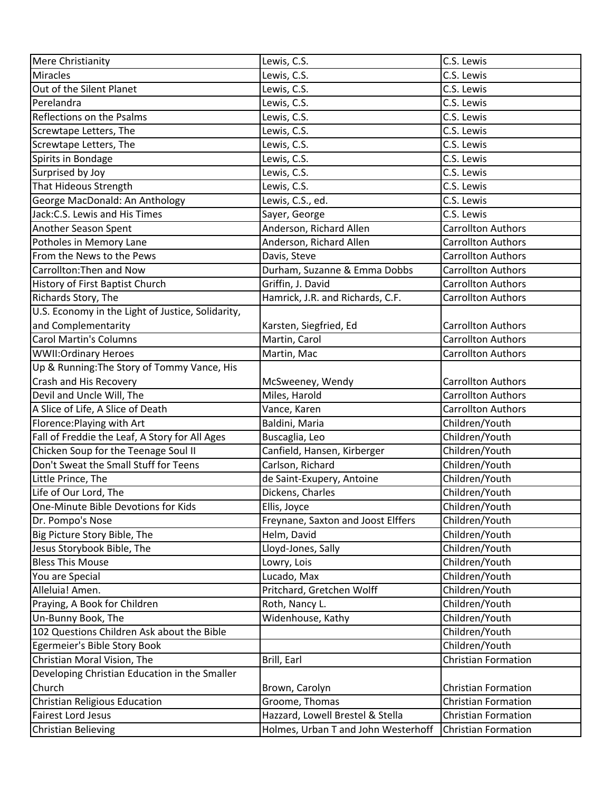| Mere Christianity                                 | Lewis, C.S.                         | C.S. Lewis                 |
|---------------------------------------------------|-------------------------------------|----------------------------|
| Miracles                                          | Lewis, C.S.                         | C.S. Lewis                 |
| Out of the Silent Planet                          | Lewis, C.S.                         | C.S. Lewis                 |
| Perelandra                                        | Lewis, C.S.                         | C.S. Lewis                 |
| Reflections on the Psalms                         | Lewis, C.S.                         | C.S. Lewis                 |
| Screwtape Letters, The                            | Lewis, C.S.                         | C.S. Lewis                 |
| Screwtape Letters, The                            | Lewis, C.S.                         | C.S. Lewis                 |
| Spirits in Bondage                                | Lewis, C.S.                         | C.S. Lewis                 |
| Surprised by Joy                                  | Lewis, C.S.                         | C.S. Lewis                 |
| That Hideous Strength                             | Lewis, C.S.                         | C.S. Lewis                 |
| George MacDonald: An Anthology                    | Lewis, C.S., ed.                    | C.S. Lewis                 |
| Jack: C.S. Lewis and His Times                    | Sayer, George                       | C.S. Lewis                 |
| Another Season Spent                              | Anderson, Richard Allen             | <b>Carrollton Authors</b>  |
| Potholes in Memory Lane                           | Anderson, Richard Allen             | <b>Carrollton Authors</b>  |
| From the News to the Pews                         | Davis, Steve                        | Carrollton Authors         |
| Carrollton: Then and Now                          | Durham, Suzanne & Emma Dobbs        | <b>Carrollton Authors</b>  |
| History of First Baptist Church                   | Griffin, J. David                   | Carrollton Authors         |
| Richards Story, The                               | Hamrick, J.R. and Richards, C.F.    | <b>Carrollton Authors</b>  |
| U.S. Economy in the Light of Justice, Solidarity, |                                     |                            |
| and Complementarity                               | Karsten, Siegfried, Ed              | <b>Carrollton Authors</b>  |
| <b>Carol Martin's Columns</b>                     | Martin, Carol                       | Carrollton Authors         |
| <b>WWII:Ordinary Heroes</b>                       | Martin, Mac                         | <b>Carrollton Authors</b>  |
| Up & Running: The Story of Tommy Vance, His       |                                     |                            |
| Crash and His Recovery                            | McSweeney, Wendy                    | <b>Carrollton Authors</b>  |
| Devil and Uncle Will, The                         | Miles, Harold                       | <b>Carrollton Authors</b>  |
| A Slice of Life, A Slice of Death                 | Vance, Karen                        | <b>Carrollton Authors</b>  |
| Florence: Playing with Art                        | Baldini, Maria                      | Children/Youth             |
| Fall of Freddie the Leaf, A Story for All Ages    | Buscaglia, Leo                      | Children/Youth             |
| Chicken Soup for the Teenage Soul II              | Canfield, Hansen, Kirberger         | Children/Youth             |
| Don't Sweat the Small Stuff for Teens             | Carlson, Richard                    | Children/Youth             |
| Little Prince, The                                | de Saint-Exupery, Antoine           | Children/Youth             |
| Life of Our Lord, The                             | Dickens, Charles                    | Children/Youth             |
| One-Minute Bible Devotions for Kids               | Ellis, Joyce                        | Children/Youth             |
| Dr. Pompo's Nose                                  | Freynane, Saxton and Joost Elffers  | Children/Youth             |
| Big Picture Story Bible, The                      | Helm, David                         | Children/Youth             |
| Jesus Storybook Bible, The                        | Lloyd-Jones, Sally                  | Children/Youth             |
| <b>Bless This Mouse</b>                           | Lowry, Lois                         | Children/Youth             |
| You are Special                                   | Lucado, Max                         | Children/Youth             |
| Alleluia! Amen.                                   | Pritchard, Gretchen Wolff           | Children/Youth             |
| Praying, A Book for Children                      | Roth, Nancy L.                      | Children/Youth             |
| Un-Bunny Book, The                                | Widenhouse, Kathy                   | Children/Youth             |
| 102 Questions Children Ask about the Bible        |                                     | Children/Youth             |
| Egermeier's Bible Story Book                      |                                     | Children/Youth             |
| Christian Moral Vision, The                       | Brill, Earl                         | <b>Christian Formation</b> |
| Developing Christian Education in the Smaller     |                                     |                            |
| Church                                            | Brown, Carolyn                      | <b>Christian Formation</b> |
| Christian Religious Education                     | Groome, Thomas                      | <b>Christian Formation</b> |
| <b>Fairest Lord Jesus</b>                         | Hazzard, Lowell Brestel & Stella    | <b>Christian Formation</b> |
| <b>Christian Believing</b>                        | Holmes, Urban T and John Westerhoff | <b>Christian Formation</b> |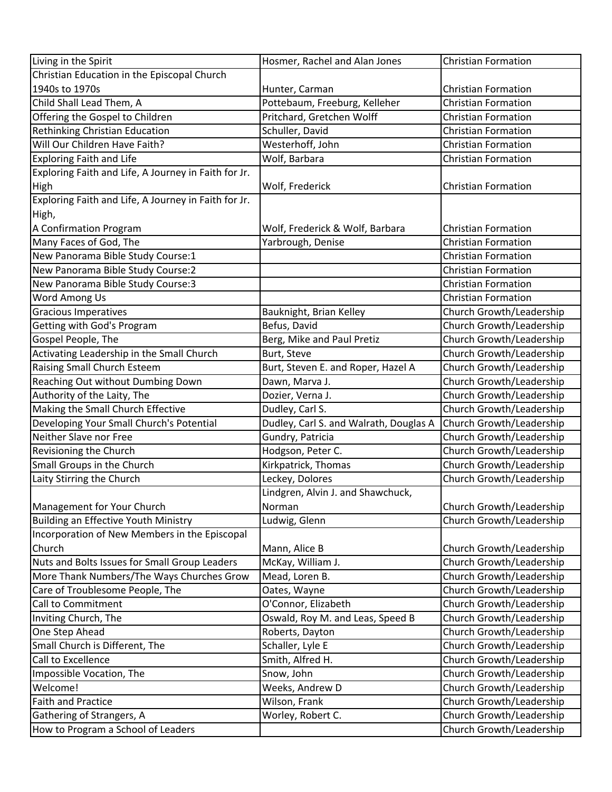| Living in the Spirit                                 | Hosmer, Rachel and Alan Jones          | <b>Christian Formation</b> |
|------------------------------------------------------|----------------------------------------|----------------------------|
| Christian Education in the Episcopal Church          |                                        |                            |
| 1940s to 1970s                                       | Hunter, Carman                         | <b>Christian Formation</b> |
| Child Shall Lead Them, A                             | Pottebaum, Freeburg, Kelleher          | <b>Christian Formation</b> |
| Offering the Gospel to Children                      | Pritchard, Gretchen Wolff              | <b>Christian Formation</b> |
| Rethinking Christian Education                       | Schuller, David                        | <b>Christian Formation</b> |
| Will Our Children Have Faith?                        | Westerhoff, John                       | <b>Christian Formation</b> |
| <b>Exploring Faith and Life</b>                      | Wolf, Barbara                          | <b>Christian Formation</b> |
| Exploring Faith and Life, A Journey in Faith for Jr. |                                        |                            |
| High                                                 | Wolf, Frederick                        | <b>Christian Formation</b> |
| Exploring Faith and Life, A Journey in Faith for Jr. |                                        |                            |
| High,                                                |                                        |                            |
| A Confirmation Program                               | Wolf, Frederick & Wolf, Barbara        | <b>Christian Formation</b> |
| Many Faces of God, The                               | Yarbrough, Denise                      | <b>Christian Formation</b> |
| New Panorama Bible Study Course:1                    |                                        | <b>Christian Formation</b> |
| New Panorama Bible Study Course:2                    |                                        | <b>Christian Formation</b> |
| New Panorama Bible Study Course:3                    |                                        | <b>Christian Formation</b> |
| Word Among Us                                        |                                        | <b>Christian Formation</b> |
| <b>Gracious Imperatives</b>                          | Bauknight, Brian Kelley                | Church Growth/Leadership   |
| Getting with God's Program                           | Befus, David                           | Church Growth/Leadership   |
| Gospel People, The                                   | Berg, Mike and Paul Pretiz             | Church Growth/Leadership   |
| Activating Leadership in the Small Church            | Burt, Steve                            | Church Growth/Leadership   |
| Raising Small Church Esteem                          | Burt, Steven E. and Roper, Hazel A     | Church Growth/Leadership   |
| Reaching Out without Dumbing Down                    | Dawn, Marva J.                         | Church Growth/Leadership   |
| Authority of the Laity, The                          | Dozier, Verna J.                       | Church Growth/Leadership   |
| Making the Small Church Effective                    | Dudley, Carl S.                        | Church Growth/Leadership   |
| Developing Your Small Church's Potential             | Dudley, Carl S. and Walrath, Douglas A | Church Growth/Leadership   |
| Neither Slave nor Free                               | Gundry, Patricia                       | Church Growth/Leadership   |
| Revisioning the Church                               | Hodgson, Peter C.                      | Church Growth/Leadership   |
| Small Groups in the Church                           | Kirkpatrick, Thomas                    | Church Growth/Leadership   |
| Laity Stirring the Church                            | Leckey, Dolores                        | Church Growth/Leadership   |
|                                                      | Lindgren, Alvin J. and Shawchuck,      |                            |
| Management for Your Church                           | Norman                                 | Church Growth/Leadership   |
| Building an Effective Youth Ministry                 | Ludwig, Glenn                          | Church Growth/Leadership   |
| Incorporation of New Members in the Episcopal        |                                        |                            |
| Church                                               | Mann, Alice B                          | Church Growth/Leadership   |
| Nuts and Bolts Issues for Small Group Leaders        | McKay, William J.                      | Church Growth/Leadership   |
| More Thank Numbers/The Ways Churches Grow            | Mead, Loren B.                         | Church Growth/Leadership   |
| Care of Troublesome People, The                      | Oates, Wayne                           | Church Growth/Leadership   |
| Call to Commitment                                   | O'Connor, Elizabeth                    | Church Growth/Leadership   |
| Inviting Church, The                                 | Oswald, Roy M. and Leas, Speed B       | Church Growth/Leadership   |
| One Step Ahead                                       | Roberts, Dayton                        | Church Growth/Leadership   |
| Small Church is Different, The                       | Schaller, Lyle E                       | Church Growth/Leadership   |
| Call to Excellence                                   | Smith, Alfred H.                       | Church Growth/Leadership   |
| Impossible Vocation, The                             | Snow, John                             | Church Growth/Leadership   |
| Welcome!                                             | Weeks, Andrew D                        | Church Growth/Leadership   |
| <b>Faith and Practice</b>                            | Wilson, Frank                          | Church Growth/Leadership   |
| Gathering of Strangers, A                            | Worley, Robert C.                      | Church Growth/Leadership   |
| How to Program a School of Leaders                   |                                        | Church Growth/Leadership   |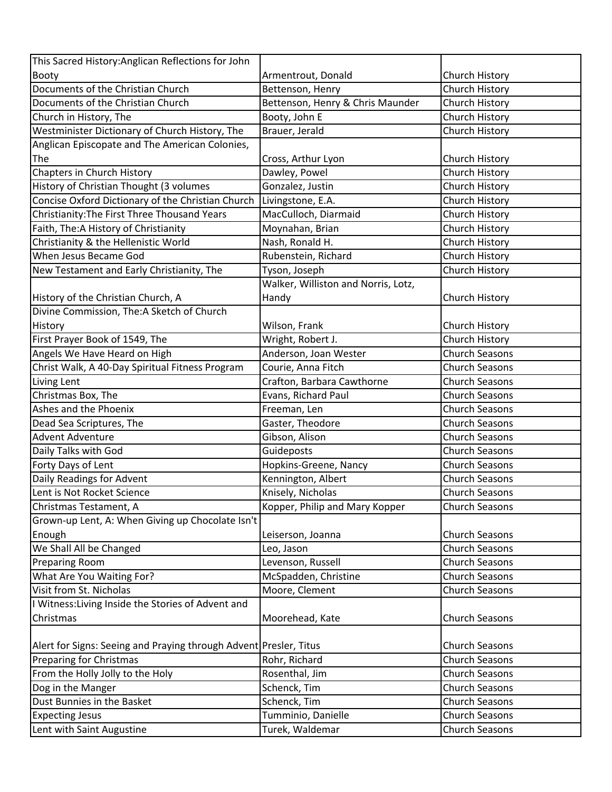| Booty<br>Armentrout, Donald<br>Church History<br>Documents of the Christian Church<br>Bettenson, Henry<br>Church History<br>Bettenson, Henry & Chris Maunder<br>Church History<br>Documents of the Christian Church<br>Church History<br>Booty, John E<br>Church in History, The<br>Westminister Dictionary of Church History, The<br>Brauer, Jerald<br>Church History<br>Anglican Episcopate and The American Colonies,<br>The<br>Church History<br>Cross, Arthur Lyon<br>Chapters in Church History<br>Church History<br>Dawley, Powel<br>History of Christian Thought (3 volumes<br>Gonzalez, Justin<br>Church History<br>Concise Oxford Dictionary of the Christian Church<br>Livingstone, E.A.<br>Church History<br>Christianity: The First Three Thousand Years<br>MacCulloch, Diarmaid<br>Church History<br>Faith, The: A History of Christianity<br>Church History<br>Moynahan, Brian<br>Christianity & the Hellenistic World<br>Nash, Ronald H.<br>Church History<br>Rubenstein, Richard<br>Church History<br>When Jesus Became God<br>Church History<br>New Testament and Early Christianity, The<br>Tyson, Joseph<br>Walker, Williston and Norris, Lotz,<br>History of the Christian Church, A<br>Handy<br>Church History<br>Divine Commission, The:A Sketch of Church<br>History<br>Wilson, Frank<br>Church History<br>First Prayer Book of 1549, The<br>Wright, Robert J.<br>Church History<br>Angels We Have Heard on High<br>Anderson, Joan Wester<br><b>Church Seasons</b><br>Christ Walk, A 40-Day Spiritual Fitness Program<br>Church Seasons<br>Courie, Anna Fitch<br>Crafton, Barbara Cawthorne<br><b>Church Seasons</b><br>Living Lent<br>Christmas Box, The<br>Evans, Richard Paul<br><b>Church Seasons</b><br>Ashes and the Phoenix<br><b>Church Seasons</b><br>Freeman, Len<br>Dead Sea Scriptures, The<br>Gaster, Theodore<br><b>Church Seasons</b><br><b>Advent Adventure</b><br>Gibson, Alison<br><b>Church Seasons</b><br>Daily Talks with God<br>Guideposts<br><b>Church Seasons</b><br>Forty Days of Lent<br><b>Church Seasons</b><br>Hopkins-Greene, Nancy<br>Daily Readings for Advent<br>Kennington, Albert<br><b>Church Seasons</b><br>Knisely, Nicholas<br>Lent is Not Rocket Science<br><b>Church Seasons</b><br>Christmas Testament, A<br>Kopper, Philip and Mary Kopper<br>Church Seasons<br>Grown-up Lent, A: When Giving up Chocolate Isn't<br>Enough<br><b>Church Seasons</b><br>Leiserson, Joanna<br>We Shall All be Changed<br>Church Seasons<br>Leo, Jason<br>Levenson, Russell<br><b>Preparing Room</b><br><b>Church Seasons</b><br>What Are You Waiting For?<br>McSpadden, Christine<br><b>Church Seasons</b><br>Visit from St. Nicholas<br>Moore, Clement<br><b>Church Seasons</b><br>I Witness: Living Inside the Stories of Advent and<br>Christmas<br>Moorehead, Kate<br>Church Seasons<br>Alert for Signs: Seeing and Praying through Advent Presler, Titus<br>Church Seasons<br>Preparing for Christmas<br>Rohr, Richard<br><b>Church Seasons</b><br>From the Holly Jolly to the Holy<br>Rosenthal, Jim<br><b>Church Seasons</b><br>Dog in the Manger<br>Schenck, Tim<br>Church Seasons<br>Dust Bunnies in the Basket<br>Schenck, Tim<br><b>Church Seasons</b><br>Tumminio, Danielle<br><b>Church Seasons</b><br><b>Expecting Jesus</b><br>Lent with Saint Augustine<br>Turek, Waldemar<br>Church Seasons | This Sacred History: Anglican Reflections for John |  |
|---------------------------------------------------------------------------------------------------------------------------------------------------------------------------------------------------------------------------------------------------------------------------------------------------------------------------------------------------------------------------------------------------------------------------------------------------------------------------------------------------------------------------------------------------------------------------------------------------------------------------------------------------------------------------------------------------------------------------------------------------------------------------------------------------------------------------------------------------------------------------------------------------------------------------------------------------------------------------------------------------------------------------------------------------------------------------------------------------------------------------------------------------------------------------------------------------------------------------------------------------------------------------------------------------------------------------------------------------------------------------------------------------------------------------------------------------------------------------------------------------------------------------------------------------------------------------------------------------------------------------------------------------------------------------------------------------------------------------------------------------------------------------------------------------------------------------------------------------------------------------------------------------------------------------------------------------------------------------------------------------------------------------------------------------------------------------------------------------------------------------------------------------------------------------------------------------------------------------------------------------------------------------------------------------------------------------------------------------------------------------------------------------------------------------------------------------------------------------------------------------------------------------------------------------------------------------------------------------------------------------------------------------------------------------------------------------------------------------------------------------------------------------------------------------------------------------------------------------------------------------------------------------------------------------------------------------------------------------------------------------------------------------------------------------------------------------------------------------------------------------------------------------------------------------------------------------------------------------------------------------------------------------------------------------------------------------------------------------------------|----------------------------------------------------|--|
|                                                                                                                                                                                                                                                                                                                                                                                                                                                                                                                                                                                                                                                                                                                                                                                                                                                                                                                                                                                                                                                                                                                                                                                                                                                                                                                                                                                                                                                                                                                                                                                                                                                                                                                                                                                                                                                                                                                                                                                                                                                                                                                                                                                                                                                                                                                                                                                                                                                                                                                                                                                                                                                                                                                                                                                                                                                                                                                                                                                                                                                                                                                                                                                                                                                                                                                                                               |                                                    |  |
|                                                                                                                                                                                                                                                                                                                                                                                                                                                                                                                                                                                                                                                                                                                                                                                                                                                                                                                                                                                                                                                                                                                                                                                                                                                                                                                                                                                                                                                                                                                                                                                                                                                                                                                                                                                                                                                                                                                                                                                                                                                                                                                                                                                                                                                                                                                                                                                                                                                                                                                                                                                                                                                                                                                                                                                                                                                                                                                                                                                                                                                                                                                                                                                                                                                                                                                                                               |                                                    |  |
|                                                                                                                                                                                                                                                                                                                                                                                                                                                                                                                                                                                                                                                                                                                                                                                                                                                                                                                                                                                                                                                                                                                                                                                                                                                                                                                                                                                                                                                                                                                                                                                                                                                                                                                                                                                                                                                                                                                                                                                                                                                                                                                                                                                                                                                                                                                                                                                                                                                                                                                                                                                                                                                                                                                                                                                                                                                                                                                                                                                                                                                                                                                                                                                                                                                                                                                                                               |                                                    |  |
|                                                                                                                                                                                                                                                                                                                                                                                                                                                                                                                                                                                                                                                                                                                                                                                                                                                                                                                                                                                                                                                                                                                                                                                                                                                                                                                                                                                                                                                                                                                                                                                                                                                                                                                                                                                                                                                                                                                                                                                                                                                                                                                                                                                                                                                                                                                                                                                                                                                                                                                                                                                                                                                                                                                                                                                                                                                                                                                                                                                                                                                                                                                                                                                                                                                                                                                                                               |                                                    |  |
|                                                                                                                                                                                                                                                                                                                                                                                                                                                                                                                                                                                                                                                                                                                                                                                                                                                                                                                                                                                                                                                                                                                                                                                                                                                                                                                                                                                                                                                                                                                                                                                                                                                                                                                                                                                                                                                                                                                                                                                                                                                                                                                                                                                                                                                                                                                                                                                                                                                                                                                                                                                                                                                                                                                                                                                                                                                                                                                                                                                                                                                                                                                                                                                                                                                                                                                                                               |                                                    |  |
|                                                                                                                                                                                                                                                                                                                                                                                                                                                                                                                                                                                                                                                                                                                                                                                                                                                                                                                                                                                                                                                                                                                                                                                                                                                                                                                                                                                                                                                                                                                                                                                                                                                                                                                                                                                                                                                                                                                                                                                                                                                                                                                                                                                                                                                                                                                                                                                                                                                                                                                                                                                                                                                                                                                                                                                                                                                                                                                                                                                                                                                                                                                                                                                                                                                                                                                                                               |                                                    |  |
|                                                                                                                                                                                                                                                                                                                                                                                                                                                                                                                                                                                                                                                                                                                                                                                                                                                                                                                                                                                                                                                                                                                                                                                                                                                                                                                                                                                                                                                                                                                                                                                                                                                                                                                                                                                                                                                                                                                                                                                                                                                                                                                                                                                                                                                                                                                                                                                                                                                                                                                                                                                                                                                                                                                                                                                                                                                                                                                                                                                                                                                                                                                                                                                                                                                                                                                                                               |                                                    |  |
|                                                                                                                                                                                                                                                                                                                                                                                                                                                                                                                                                                                                                                                                                                                                                                                                                                                                                                                                                                                                                                                                                                                                                                                                                                                                                                                                                                                                                                                                                                                                                                                                                                                                                                                                                                                                                                                                                                                                                                                                                                                                                                                                                                                                                                                                                                                                                                                                                                                                                                                                                                                                                                                                                                                                                                                                                                                                                                                                                                                                                                                                                                                                                                                                                                                                                                                                                               |                                                    |  |
|                                                                                                                                                                                                                                                                                                                                                                                                                                                                                                                                                                                                                                                                                                                                                                                                                                                                                                                                                                                                                                                                                                                                                                                                                                                                                                                                                                                                                                                                                                                                                                                                                                                                                                                                                                                                                                                                                                                                                                                                                                                                                                                                                                                                                                                                                                                                                                                                                                                                                                                                                                                                                                                                                                                                                                                                                                                                                                                                                                                                                                                                                                                                                                                                                                                                                                                                                               |                                                    |  |
|                                                                                                                                                                                                                                                                                                                                                                                                                                                                                                                                                                                                                                                                                                                                                                                                                                                                                                                                                                                                                                                                                                                                                                                                                                                                                                                                                                                                                                                                                                                                                                                                                                                                                                                                                                                                                                                                                                                                                                                                                                                                                                                                                                                                                                                                                                                                                                                                                                                                                                                                                                                                                                                                                                                                                                                                                                                                                                                                                                                                                                                                                                                                                                                                                                                                                                                                                               |                                                    |  |
|                                                                                                                                                                                                                                                                                                                                                                                                                                                                                                                                                                                                                                                                                                                                                                                                                                                                                                                                                                                                                                                                                                                                                                                                                                                                                                                                                                                                                                                                                                                                                                                                                                                                                                                                                                                                                                                                                                                                                                                                                                                                                                                                                                                                                                                                                                                                                                                                                                                                                                                                                                                                                                                                                                                                                                                                                                                                                                                                                                                                                                                                                                                                                                                                                                                                                                                                                               |                                                    |  |
|                                                                                                                                                                                                                                                                                                                                                                                                                                                                                                                                                                                                                                                                                                                                                                                                                                                                                                                                                                                                                                                                                                                                                                                                                                                                                                                                                                                                                                                                                                                                                                                                                                                                                                                                                                                                                                                                                                                                                                                                                                                                                                                                                                                                                                                                                                                                                                                                                                                                                                                                                                                                                                                                                                                                                                                                                                                                                                                                                                                                                                                                                                                                                                                                                                                                                                                                                               |                                                    |  |
|                                                                                                                                                                                                                                                                                                                                                                                                                                                                                                                                                                                                                                                                                                                                                                                                                                                                                                                                                                                                                                                                                                                                                                                                                                                                                                                                                                                                                                                                                                                                                                                                                                                                                                                                                                                                                                                                                                                                                                                                                                                                                                                                                                                                                                                                                                                                                                                                                                                                                                                                                                                                                                                                                                                                                                                                                                                                                                                                                                                                                                                                                                                                                                                                                                                                                                                                                               |                                                    |  |
|                                                                                                                                                                                                                                                                                                                                                                                                                                                                                                                                                                                                                                                                                                                                                                                                                                                                                                                                                                                                                                                                                                                                                                                                                                                                                                                                                                                                                                                                                                                                                                                                                                                                                                                                                                                                                                                                                                                                                                                                                                                                                                                                                                                                                                                                                                                                                                                                                                                                                                                                                                                                                                                                                                                                                                                                                                                                                                                                                                                                                                                                                                                                                                                                                                                                                                                                                               |                                                    |  |
|                                                                                                                                                                                                                                                                                                                                                                                                                                                                                                                                                                                                                                                                                                                                                                                                                                                                                                                                                                                                                                                                                                                                                                                                                                                                                                                                                                                                                                                                                                                                                                                                                                                                                                                                                                                                                                                                                                                                                                                                                                                                                                                                                                                                                                                                                                                                                                                                                                                                                                                                                                                                                                                                                                                                                                                                                                                                                                                                                                                                                                                                                                                                                                                                                                                                                                                                                               |                                                    |  |
|                                                                                                                                                                                                                                                                                                                                                                                                                                                                                                                                                                                                                                                                                                                                                                                                                                                                                                                                                                                                                                                                                                                                                                                                                                                                                                                                                                                                                                                                                                                                                                                                                                                                                                                                                                                                                                                                                                                                                                                                                                                                                                                                                                                                                                                                                                                                                                                                                                                                                                                                                                                                                                                                                                                                                                                                                                                                                                                                                                                                                                                                                                                                                                                                                                                                                                                                                               |                                                    |  |
|                                                                                                                                                                                                                                                                                                                                                                                                                                                                                                                                                                                                                                                                                                                                                                                                                                                                                                                                                                                                                                                                                                                                                                                                                                                                                                                                                                                                                                                                                                                                                                                                                                                                                                                                                                                                                                                                                                                                                                                                                                                                                                                                                                                                                                                                                                                                                                                                                                                                                                                                                                                                                                                                                                                                                                                                                                                                                                                                                                                                                                                                                                                                                                                                                                                                                                                                                               |                                                    |  |
|                                                                                                                                                                                                                                                                                                                                                                                                                                                                                                                                                                                                                                                                                                                                                                                                                                                                                                                                                                                                                                                                                                                                                                                                                                                                                                                                                                                                                                                                                                                                                                                                                                                                                                                                                                                                                                                                                                                                                                                                                                                                                                                                                                                                                                                                                                                                                                                                                                                                                                                                                                                                                                                                                                                                                                                                                                                                                                                                                                                                                                                                                                                                                                                                                                                                                                                                                               |                                                    |  |
|                                                                                                                                                                                                                                                                                                                                                                                                                                                                                                                                                                                                                                                                                                                                                                                                                                                                                                                                                                                                                                                                                                                                                                                                                                                                                                                                                                                                                                                                                                                                                                                                                                                                                                                                                                                                                                                                                                                                                                                                                                                                                                                                                                                                                                                                                                                                                                                                                                                                                                                                                                                                                                                                                                                                                                                                                                                                                                                                                                                                                                                                                                                                                                                                                                                                                                                                                               |                                                    |  |
|                                                                                                                                                                                                                                                                                                                                                                                                                                                                                                                                                                                                                                                                                                                                                                                                                                                                                                                                                                                                                                                                                                                                                                                                                                                                                                                                                                                                                                                                                                                                                                                                                                                                                                                                                                                                                                                                                                                                                                                                                                                                                                                                                                                                                                                                                                                                                                                                                                                                                                                                                                                                                                                                                                                                                                                                                                                                                                                                                                                                                                                                                                                                                                                                                                                                                                                                                               |                                                    |  |
|                                                                                                                                                                                                                                                                                                                                                                                                                                                                                                                                                                                                                                                                                                                                                                                                                                                                                                                                                                                                                                                                                                                                                                                                                                                                                                                                                                                                                                                                                                                                                                                                                                                                                                                                                                                                                                                                                                                                                                                                                                                                                                                                                                                                                                                                                                                                                                                                                                                                                                                                                                                                                                                                                                                                                                                                                                                                                                                                                                                                                                                                                                                                                                                                                                                                                                                                                               |                                                    |  |
|                                                                                                                                                                                                                                                                                                                                                                                                                                                                                                                                                                                                                                                                                                                                                                                                                                                                                                                                                                                                                                                                                                                                                                                                                                                                                                                                                                                                                                                                                                                                                                                                                                                                                                                                                                                                                                                                                                                                                                                                                                                                                                                                                                                                                                                                                                                                                                                                                                                                                                                                                                                                                                                                                                                                                                                                                                                                                                                                                                                                                                                                                                                                                                                                                                                                                                                                                               |                                                    |  |
|                                                                                                                                                                                                                                                                                                                                                                                                                                                                                                                                                                                                                                                                                                                                                                                                                                                                                                                                                                                                                                                                                                                                                                                                                                                                                                                                                                                                                                                                                                                                                                                                                                                                                                                                                                                                                                                                                                                                                                                                                                                                                                                                                                                                                                                                                                                                                                                                                                                                                                                                                                                                                                                                                                                                                                                                                                                                                                                                                                                                                                                                                                                                                                                                                                                                                                                                                               |                                                    |  |
|                                                                                                                                                                                                                                                                                                                                                                                                                                                                                                                                                                                                                                                                                                                                                                                                                                                                                                                                                                                                                                                                                                                                                                                                                                                                                                                                                                                                                                                                                                                                                                                                                                                                                                                                                                                                                                                                                                                                                                                                                                                                                                                                                                                                                                                                                                                                                                                                                                                                                                                                                                                                                                                                                                                                                                                                                                                                                                                                                                                                                                                                                                                                                                                                                                                                                                                                                               |                                                    |  |
|                                                                                                                                                                                                                                                                                                                                                                                                                                                                                                                                                                                                                                                                                                                                                                                                                                                                                                                                                                                                                                                                                                                                                                                                                                                                                                                                                                                                                                                                                                                                                                                                                                                                                                                                                                                                                                                                                                                                                                                                                                                                                                                                                                                                                                                                                                                                                                                                                                                                                                                                                                                                                                                                                                                                                                                                                                                                                                                                                                                                                                                                                                                                                                                                                                                                                                                                                               |                                                    |  |
|                                                                                                                                                                                                                                                                                                                                                                                                                                                                                                                                                                                                                                                                                                                                                                                                                                                                                                                                                                                                                                                                                                                                                                                                                                                                                                                                                                                                                                                                                                                                                                                                                                                                                                                                                                                                                                                                                                                                                                                                                                                                                                                                                                                                                                                                                                                                                                                                                                                                                                                                                                                                                                                                                                                                                                                                                                                                                                                                                                                                                                                                                                                                                                                                                                                                                                                                                               |                                                    |  |
|                                                                                                                                                                                                                                                                                                                                                                                                                                                                                                                                                                                                                                                                                                                                                                                                                                                                                                                                                                                                                                                                                                                                                                                                                                                                                                                                                                                                                                                                                                                                                                                                                                                                                                                                                                                                                                                                                                                                                                                                                                                                                                                                                                                                                                                                                                                                                                                                                                                                                                                                                                                                                                                                                                                                                                                                                                                                                                                                                                                                                                                                                                                                                                                                                                                                                                                                                               |                                                    |  |
|                                                                                                                                                                                                                                                                                                                                                                                                                                                                                                                                                                                                                                                                                                                                                                                                                                                                                                                                                                                                                                                                                                                                                                                                                                                                                                                                                                                                                                                                                                                                                                                                                                                                                                                                                                                                                                                                                                                                                                                                                                                                                                                                                                                                                                                                                                                                                                                                                                                                                                                                                                                                                                                                                                                                                                                                                                                                                                                                                                                                                                                                                                                                                                                                                                                                                                                                                               |                                                    |  |
|                                                                                                                                                                                                                                                                                                                                                                                                                                                                                                                                                                                                                                                                                                                                                                                                                                                                                                                                                                                                                                                                                                                                                                                                                                                                                                                                                                                                                                                                                                                                                                                                                                                                                                                                                                                                                                                                                                                                                                                                                                                                                                                                                                                                                                                                                                                                                                                                                                                                                                                                                                                                                                                                                                                                                                                                                                                                                                                                                                                                                                                                                                                                                                                                                                                                                                                                                               |                                                    |  |
|                                                                                                                                                                                                                                                                                                                                                                                                                                                                                                                                                                                                                                                                                                                                                                                                                                                                                                                                                                                                                                                                                                                                                                                                                                                                                                                                                                                                                                                                                                                                                                                                                                                                                                                                                                                                                                                                                                                                                                                                                                                                                                                                                                                                                                                                                                                                                                                                                                                                                                                                                                                                                                                                                                                                                                                                                                                                                                                                                                                                                                                                                                                                                                                                                                                                                                                                                               |                                                    |  |
|                                                                                                                                                                                                                                                                                                                                                                                                                                                                                                                                                                                                                                                                                                                                                                                                                                                                                                                                                                                                                                                                                                                                                                                                                                                                                                                                                                                                                                                                                                                                                                                                                                                                                                                                                                                                                                                                                                                                                                                                                                                                                                                                                                                                                                                                                                                                                                                                                                                                                                                                                                                                                                                                                                                                                                                                                                                                                                                                                                                                                                                                                                                                                                                                                                                                                                                                                               |                                                    |  |
|                                                                                                                                                                                                                                                                                                                                                                                                                                                                                                                                                                                                                                                                                                                                                                                                                                                                                                                                                                                                                                                                                                                                                                                                                                                                                                                                                                                                                                                                                                                                                                                                                                                                                                                                                                                                                                                                                                                                                                                                                                                                                                                                                                                                                                                                                                                                                                                                                                                                                                                                                                                                                                                                                                                                                                                                                                                                                                                                                                                                                                                                                                                                                                                                                                                                                                                                                               |                                                    |  |
|                                                                                                                                                                                                                                                                                                                                                                                                                                                                                                                                                                                                                                                                                                                                                                                                                                                                                                                                                                                                                                                                                                                                                                                                                                                                                                                                                                                                                                                                                                                                                                                                                                                                                                                                                                                                                                                                                                                                                                                                                                                                                                                                                                                                                                                                                                                                                                                                                                                                                                                                                                                                                                                                                                                                                                                                                                                                                                                                                                                                                                                                                                                                                                                                                                                                                                                                                               |                                                    |  |
|                                                                                                                                                                                                                                                                                                                                                                                                                                                                                                                                                                                                                                                                                                                                                                                                                                                                                                                                                                                                                                                                                                                                                                                                                                                                                                                                                                                                                                                                                                                                                                                                                                                                                                                                                                                                                                                                                                                                                                                                                                                                                                                                                                                                                                                                                                                                                                                                                                                                                                                                                                                                                                                                                                                                                                                                                                                                                                                                                                                                                                                                                                                                                                                                                                                                                                                                                               |                                                    |  |
|                                                                                                                                                                                                                                                                                                                                                                                                                                                                                                                                                                                                                                                                                                                                                                                                                                                                                                                                                                                                                                                                                                                                                                                                                                                                                                                                                                                                                                                                                                                                                                                                                                                                                                                                                                                                                                                                                                                                                                                                                                                                                                                                                                                                                                                                                                                                                                                                                                                                                                                                                                                                                                                                                                                                                                                                                                                                                                                                                                                                                                                                                                                                                                                                                                                                                                                                                               |                                                    |  |
|                                                                                                                                                                                                                                                                                                                                                                                                                                                                                                                                                                                                                                                                                                                                                                                                                                                                                                                                                                                                                                                                                                                                                                                                                                                                                                                                                                                                                                                                                                                                                                                                                                                                                                                                                                                                                                                                                                                                                                                                                                                                                                                                                                                                                                                                                                                                                                                                                                                                                                                                                                                                                                                                                                                                                                                                                                                                                                                                                                                                                                                                                                                                                                                                                                                                                                                                                               |                                                    |  |
|                                                                                                                                                                                                                                                                                                                                                                                                                                                                                                                                                                                                                                                                                                                                                                                                                                                                                                                                                                                                                                                                                                                                                                                                                                                                                                                                                                                                                                                                                                                                                                                                                                                                                                                                                                                                                                                                                                                                                                                                                                                                                                                                                                                                                                                                                                                                                                                                                                                                                                                                                                                                                                                                                                                                                                                                                                                                                                                                                                                                                                                                                                                                                                                                                                                                                                                                                               |                                                    |  |
|                                                                                                                                                                                                                                                                                                                                                                                                                                                                                                                                                                                                                                                                                                                                                                                                                                                                                                                                                                                                                                                                                                                                                                                                                                                                                                                                                                                                                                                                                                                                                                                                                                                                                                                                                                                                                                                                                                                                                                                                                                                                                                                                                                                                                                                                                                                                                                                                                                                                                                                                                                                                                                                                                                                                                                                                                                                                                                                                                                                                                                                                                                                                                                                                                                                                                                                                                               |                                                    |  |
|                                                                                                                                                                                                                                                                                                                                                                                                                                                                                                                                                                                                                                                                                                                                                                                                                                                                                                                                                                                                                                                                                                                                                                                                                                                                                                                                                                                                                                                                                                                                                                                                                                                                                                                                                                                                                                                                                                                                                                                                                                                                                                                                                                                                                                                                                                                                                                                                                                                                                                                                                                                                                                                                                                                                                                                                                                                                                                                                                                                                                                                                                                                                                                                                                                                                                                                                                               |                                                    |  |
|                                                                                                                                                                                                                                                                                                                                                                                                                                                                                                                                                                                                                                                                                                                                                                                                                                                                                                                                                                                                                                                                                                                                                                                                                                                                                                                                                                                                                                                                                                                                                                                                                                                                                                                                                                                                                                                                                                                                                                                                                                                                                                                                                                                                                                                                                                                                                                                                                                                                                                                                                                                                                                                                                                                                                                                                                                                                                                                                                                                                                                                                                                                                                                                                                                                                                                                                                               |                                                    |  |
|                                                                                                                                                                                                                                                                                                                                                                                                                                                                                                                                                                                                                                                                                                                                                                                                                                                                                                                                                                                                                                                                                                                                                                                                                                                                                                                                                                                                                                                                                                                                                                                                                                                                                                                                                                                                                                                                                                                                                                                                                                                                                                                                                                                                                                                                                                                                                                                                                                                                                                                                                                                                                                                                                                                                                                                                                                                                                                                                                                                                                                                                                                                                                                                                                                                                                                                                                               |                                                    |  |
|                                                                                                                                                                                                                                                                                                                                                                                                                                                                                                                                                                                                                                                                                                                                                                                                                                                                                                                                                                                                                                                                                                                                                                                                                                                                                                                                                                                                                                                                                                                                                                                                                                                                                                                                                                                                                                                                                                                                                                                                                                                                                                                                                                                                                                                                                                                                                                                                                                                                                                                                                                                                                                                                                                                                                                                                                                                                                                                                                                                                                                                                                                                                                                                                                                                                                                                                                               |                                                    |  |
|                                                                                                                                                                                                                                                                                                                                                                                                                                                                                                                                                                                                                                                                                                                                                                                                                                                                                                                                                                                                                                                                                                                                                                                                                                                                                                                                                                                                                                                                                                                                                                                                                                                                                                                                                                                                                                                                                                                                                                                                                                                                                                                                                                                                                                                                                                                                                                                                                                                                                                                                                                                                                                                                                                                                                                                                                                                                                                                                                                                                                                                                                                                                                                                                                                                                                                                                                               |                                                    |  |
|                                                                                                                                                                                                                                                                                                                                                                                                                                                                                                                                                                                                                                                                                                                                                                                                                                                                                                                                                                                                                                                                                                                                                                                                                                                                                                                                                                                                                                                                                                                                                                                                                                                                                                                                                                                                                                                                                                                                                                                                                                                                                                                                                                                                                                                                                                                                                                                                                                                                                                                                                                                                                                                                                                                                                                                                                                                                                                                                                                                                                                                                                                                                                                                                                                                                                                                                                               |                                                    |  |
|                                                                                                                                                                                                                                                                                                                                                                                                                                                                                                                                                                                                                                                                                                                                                                                                                                                                                                                                                                                                                                                                                                                                                                                                                                                                                                                                                                                                                                                                                                                                                                                                                                                                                                                                                                                                                                                                                                                                                                                                                                                                                                                                                                                                                                                                                                                                                                                                                                                                                                                                                                                                                                                                                                                                                                                                                                                                                                                                                                                                                                                                                                                                                                                                                                                                                                                                                               |                                                    |  |
|                                                                                                                                                                                                                                                                                                                                                                                                                                                                                                                                                                                                                                                                                                                                                                                                                                                                                                                                                                                                                                                                                                                                                                                                                                                                                                                                                                                                                                                                                                                                                                                                                                                                                                                                                                                                                                                                                                                                                                                                                                                                                                                                                                                                                                                                                                                                                                                                                                                                                                                                                                                                                                                                                                                                                                                                                                                                                                                                                                                                                                                                                                                                                                                                                                                                                                                                                               |                                                    |  |
|                                                                                                                                                                                                                                                                                                                                                                                                                                                                                                                                                                                                                                                                                                                                                                                                                                                                                                                                                                                                                                                                                                                                                                                                                                                                                                                                                                                                                                                                                                                                                                                                                                                                                                                                                                                                                                                                                                                                                                                                                                                                                                                                                                                                                                                                                                                                                                                                                                                                                                                                                                                                                                                                                                                                                                                                                                                                                                                                                                                                                                                                                                                                                                                                                                                                                                                                                               |                                                    |  |
|                                                                                                                                                                                                                                                                                                                                                                                                                                                                                                                                                                                                                                                                                                                                                                                                                                                                                                                                                                                                                                                                                                                                                                                                                                                                                                                                                                                                                                                                                                                                                                                                                                                                                                                                                                                                                                                                                                                                                                                                                                                                                                                                                                                                                                                                                                                                                                                                                                                                                                                                                                                                                                                                                                                                                                                                                                                                                                                                                                                                                                                                                                                                                                                                                                                                                                                                                               |                                                    |  |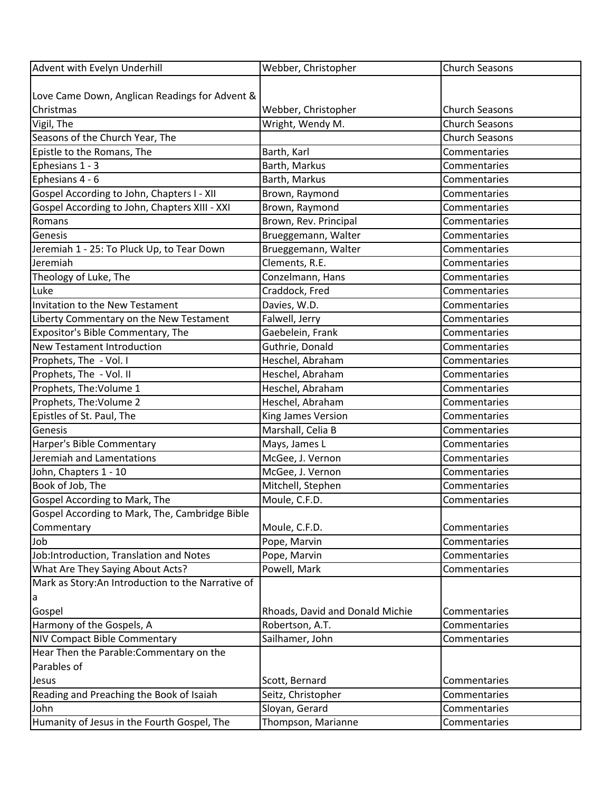| Advent with Evelyn Underhill                      | Webber, Christopher             | <b>Church Seasons</b> |
|---------------------------------------------------|---------------------------------|-----------------------|
|                                                   |                                 |                       |
| Love Came Down, Anglican Readings for Advent &    |                                 |                       |
| Christmas                                         | Webber, Christopher             | <b>Church Seasons</b> |
| Vigil, The                                        | Wright, Wendy M.                | <b>Church Seasons</b> |
| Seasons of the Church Year, The                   |                                 | <b>Church Seasons</b> |
| Epistle to the Romans, The                        | Barth, Karl                     | Commentaries          |
| Ephesians 1 - 3                                   | Barth, Markus                   | Commentaries          |
| Ephesians 4 - 6                                   | Barth, Markus                   | Commentaries          |
| Gospel According to John, Chapters I - XII        | Brown, Raymond                  | Commentaries          |
| Gospel According to John, Chapters XIII - XXI     | Brown, Raymond                  | Commentaries          |
| Romans                                            | Brown, Rev. Principal           | Commentaries          |
| Genesis                                           | Brueggemann, Walter             | Commentaries          |
| Jeremiah 1 - 25: To Pluck Up, to Tear Down        | Brueggemann, Walter             | Commentaries          |
| Jeremiah                                          | Clements, R.E.                  | Commentaries          |
| Theology of Luke, The                             | Conzelmann, Hans                | Commentaries          |
| Luke                                              | Craddock, Fred                  | Commentaries          |
| Invitation to the New Testament                   | Davies, W.D.                    | Commentaries          |
| Liberty Commentary on the New Testament           | Falwell, Jerry                  | Commentaries          |
| Expositor's Bible Commentary, The                 | Gaebelein, Frank                | Commentaries          |
| New Testament Introduction                        | Guthrie, Donald                 | Commentaries          |
| Prophets, The - Vol. I                            | Heschel, Abraham                | Commentaries          |
| Prophets, The - Vol. II                           | Heschel, Abraham                | Commentaries          |
| Prophets, The: Volume 1                           | Heschel, Abraham                | Commentaries          |
| Prophets, The: Volume 2                           | Heschel, Abraham                | Commentaries          |
| Epistles of St. Paul, The                         | King James Version              | Commentaries          |
| Genesis                                           | Marshall, Celia B               | Commentaries          |
| Harper's Bible Commentary                         | Mays, James L                   | Commentaries          |
| Jeremiah and Lamentations                         | McGee, J. Vernon                | Commentaries          |
| John, Chapters 1 - 10                             | McGee, J. Vernon                | Commentaries          |
| Book of Job, The                                  | Mitchell, Stephen               | Commentaries          |
| Gospel According to Mark, The                     | Moule, C.F.D.                   | Commentaries          |
| Gospel According to Mark, The, Cambridge Bible    |                                 |                       |
| Commentary                                        | Moule, C.F.D.                   | Commentaries          |
| Job                                               | Pope, Marvin                    | Commentaries          |
| Job:Introduction, Translation and Notes           | Pope, Marvin                    | Commentaries          |
| What Are They Saying About Acts?                  | Powell, Mark                    | Commentaries          |
| Mark as Story:An Introduction to the Narrative of |                                 |                       |
| a                                                 |                                 |                       |
| Gospel                                            | Rhoads, David and Donald Michie | Commentaries          |
| Harmony of the Gospels, A                         | Robertson, A.T.                 | Commentaries          |
| NIV Compact Bible Commentary                      | Sailhamer, John                 | Commentaries          |
| Hear Then the Parable: Commentary on the          |                                 |                       |
| Parables of                                       |                                 |                       |
| Jesus                                             | Scott, Bernard                  | Commentaries          |
| Reading and Preaching the Book of Isaiah          | Seitz, Christopher              | Commentaries          |
| John                                              | Sloyan, Gerard                  | Commentaries          |
| Humanity of Jesus in the Fourth Gospel, The       | Thompson, Marianne              | Commentaries          |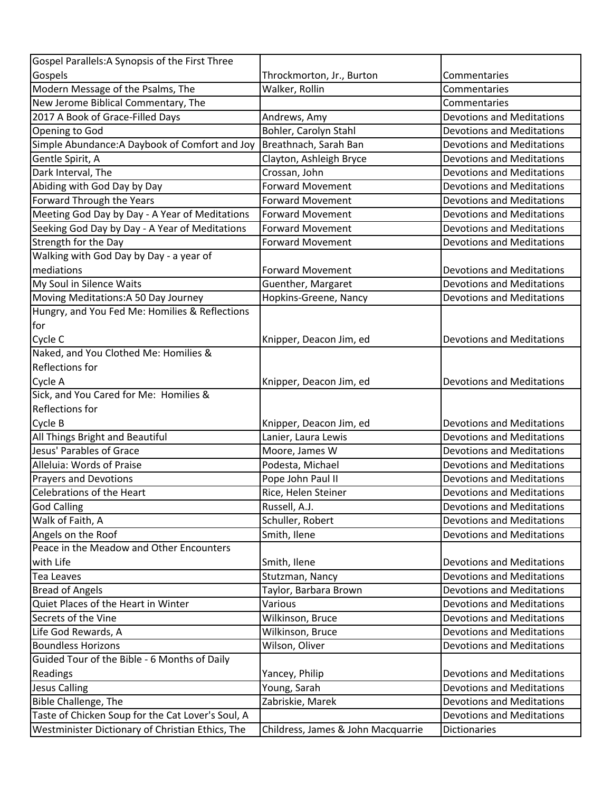| Gospel Parallels: A Synopsis of the First Three   |                                    |                                  |
|---------------------------------------------------|------------------------------------|----------------------------------|
| Gospels                                           | Throckmorton, Jr., Burton          | Commentaries                     |
| Modern Message of the Psalms, The                 | Walker, Rollin                     | Commentaries                     |
| New Jerome Biblical Commentary, The               |                                    | Commentaries                     |
| 2017 A Book of Grace-Filled Days                  | Andrews, Amy                       | <b>Devotions and Meditations</b> |
| Opening to God                                    | Bohler, Carolyn Stahl              | <b>Devotions and Meditations</b> |
| Simple Abundance: A Daybook of Comfort and Joy    | Breathnach, Sarah Ban              | <b>Devotions and Meditations</b> |
| Gentle Spirit, A                                  | Clayton, Ashleigh Bryce            | <b>Devotions and Meditations</b> |
| Dark Interval, The                                | Crossan, John                      | <b>Devotions and Meditations</b> |
| Abiding with God Day by Day                       | <b>Forward Movement</b>            | <b>Devotions and Meditations</b> |
| Forward Through the Years                         | <b>Forward Movement</b>            | <b>Devotions and Meditations</b> |
| Meeting God Day by Day - A Year of Meditations    | Forward Movement                   | <b>Devotions and Meditations</b> |
| Seeking God Day by Day - A Year of Meditations    | <b>Forward Movement</b>            | <b>Devotions and Meditations</b> |
| Strength for the Day                              | <b>Forward Movement</b>            | <b>Devotions and Meditations</b> |
| Walking with God Day by Day - a year of           |                                    |                                  |
| mediations                                        | <b>Forward Movement</b>            | <b>Devotions and Meditations</b> |
| My Soul in Silence Waits                          | Guenther, Margaret                 | <b>Devotions and Meditations</b> |
| Moving Meditations:A 50 Day Journey               | Hopkins-Greene, Nancy              | <b>Devotions and Meditations</b> |
| Hungry, and You Fed Me: Homilies & Reflections    |                                    |                                  |
| for                                               |                                    |                                  |
| Cycle C                                           | Knipper, Deacon Jim, ed            | <b>Devotions and Meditations</b> |
| Naked, and You Clothed Me: Homilies &             |                                    |                                  |
| <b>Reflections for</b>                            |                                    |                                  |
| Cycle A                                           | Knipper, Deacon Jim, ed            | <b>Devotions and Meditations</b> |
| Sick, and You Cared for Me: Homilies &            |                                    |                                  |
| <b>Reflections for</b>                            |                                    |                                  |
| Cycle B                                           | Knipper, Deacon Jim, ed            | <b>Devotions and Meditations</b> |
| All Things Bright and Beautiful                   | Lanier, Laura Lewis                | <b>Devotions and Meditations</b> |
| Jesus' Parables of Grace                          | Moore, James W                     | <b>Devotions and Meditations</b> |
| Alleluia: Words of Praise                         | Podesta, Michael                   | <b>Devotions and Meditations</b> |
| <b>Prayers and Devotions</b>                      | Pope John Paul II                  | <b>Devotions and Meditations</b> |
| Celebrations of the Heart                         | Rice, Helen Steiner                | <b>Devotions and Meditations</b> |
| God Calling                                       | Russell, A.J.                      | <b>Devotions and Meditations</b> |
| Walk of Faith, A                                  | Schuller, Robert                   | <b>Devotions and Meditations</b> |
| Angels on the Roof                                | Smith, Ilene                       | <b>Devotions and Meditations</b> |
| Peace in the Meadow and Other Encounters          |                                    |                                  |
| with Life                                         | Smith, Ilene                       | <b>Devotions and Meditations</b> |
| <b>Tea Leaves</b>                                 | Stutzman, Nancy                    | <b>Devotions and Meditations</b> |
| <b>Bread of Angels</b>                            | Taylor, Barbara Brown              | <b>Devotions and Meditations</b> |
| Quiet Places of the Heart in Winter               | Various                            | <b>Devotions and Meditations</b> |
| Secrets of the Vine                               | Wilkinson, Bruce                   | <b>Devotions and Meditations</b> |
| Life God Rewards, A                               | Wilkinson, Bruce                   | <b>Devotions and Meditations</b> |
| <b>Boundless Horizons</b>                         | Wilson, Oliver                     | <b>Devotions and Meditations</b> |
| Guided Tour of the Bible - 6 Months of Daily      |                                    |                                  |
| Readings                                          | Yancey, Philip                     | <b>Devotions and Meditations</b> |
| <b>Jesus Calling</b>                              | Young, Sarah                       | <b>Devotions and Meditations</b> |
| Bible Challenge, The                              | Zabriskie, Marek                   | <b>Devotions and Meditations</b> |
| Taste of Chicken Soup for the Cat Lover's Soul, A |                                    | <b>Devotions and Meditations</b> |
| Westminister Dictionary of Christian Ethics, The  | Childress, James & John Macquarrie | <b>Dictionaries</b>              |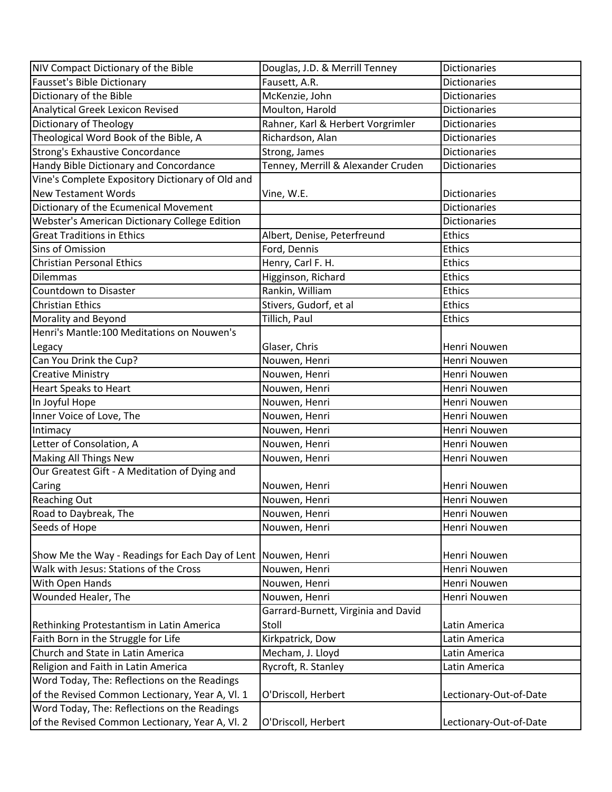| NIV Compact Dictionary of the Bible                             | Douglas, J.D. & Merrill Tenney      | <b>Dictionaries</b>    |
|-----------------------------------------------------------------|-------------------------------------|------------------------|
| Fausset's Bible Dictionary                                      | Fausett, A.R.                       | <b>Dictionaries</b>    |
| Dictionary of the Bible                                         | McKenzie, John                      | <b>Dictionaries</b>    |
| Analytical Greek Lexicon Revised                                | Moulton, Harold                     | <b>Dictionaries</b>    |
| Dictionary of Theology                                          | Rahner, Karl & Herbert Vorgrimler   | <b>Dictionaries</b>    |
| Theological Word Book of the Bible, A                           | Richardson, Alan                    | <b>Dictionaries</b>    |
| Strong's Exhaustive Concordance                                 | Strong, James                       | <b>Dictionaries</b>    |
| Handy Bible Dictionary and Concordance                          | Tenney, Merrill & Alexander Cruden  | <b>Dictionaries</b>    |
| Vine's Complete Expository Dictionary of Old and                |                                     |                        |
| <b>New Testament Words</b>                                      | Vine, W.E.                          | <b>Dictionaries</b>    |
| Dictionary of the Ecumenical Movement                           |                                     | <b>Dictionaries</b>    |
| Webster's American Dictionary College Edition                   |                                     | <b>Dictionaries</b>    |
| <b>Great Traditions in Ethics</b>                               | Albert, Denise, Peterfreund         | <b>Ethics</b>          |
| Sins of Omission                                                | Ford, Dennis                        | <b>Ethics</b>          |
| <b>Christian Personal Ethics</b>                                | Henry, Carl F. H.                   | <b>Ethics</b>          |
| <b>Dilemmas</b>                                                 | Higginson, Richard                  | Ethics                 |
| Countdown to Disaster                                           | Rankin, William                     | <b>Ethics</b>          |
| <b>Christian Ethics</b>                                         | Stivers, Gudorf, et al              | <b>Ethics</b>          |
| Morality and Beyond                                             | Tillich, Paul                       | <b>Ethics</b>          |
| Henri's Mantle:100 Meditations on Nouwen's                      |                                     |                        |
| Legacy                                                          | Glaser, Chris                       | Henri Nouwen           |
| Can You Drink the Cup?                                          | Nouwen, Henri                       | Henri Nouwen           |
| <b>Creative Ministry</b>                                        | Nouwen, Henri                       | Henri Nouwen           |
| <b>Heart Speaks to Heart</b>                                    | Nouwen, Henri                       | Henri Nouwen           |
| In Joyful Hope                                                  | Nouwen, Henri                       | Henri Nouwen           |
| Inner Voice of Love, The                                        | Nouwen, Henri                       | Henri Nouwen           |
| Intimacy                                                        | Nouwen, Henri                       | Henri Nouwen           |
| Letter of Consolation, A                                        | Nouwen, Henri                       | Henri Nouwen           |
| Making All Things New                                           | Nouwen, Henri                       | Henri Nouwen           |
| Our Greatest Gift - A Meditation of Dying and                   |                                     |                        |
| Caring                                                          | Nouwen, Henri                       | Henri Nouwen           |
| Reaching Out                                                    | Nouwen, Henri                       | Henri Nouwen           |
| Road to Daybreak, The                                           | Nouwen, Henri                       | Henri Nouwen           |
| Seeds of Hope                                                   | Nouwen, Henri                       | Henri Nouwen           |
|                                                                 |                                     |                        |
| Show Me the Way - Readings for Each Day of Lent   Nouwen, Henri |                                     | Henri Nouwen           |
| Walk with Jesus: Stations of the Cross                          | Nouwen, Henri                       | Henri Nouwen           |
| With Open Hands                                                 | Nouwen, Henri                       | Henri Nouwen           |
| Wounded Healer, The                                             | Nouwen, Henri                       | Henri Nouwen           |
|                                                                 | Garrard-Burnett, Virginia and David |                        |
| Rethinking Protestantism in Latin America                       | Stoll                               | Latin America          |
| Faith Born in the Struggle for Life                             | Kirkpatrick, Dow                    | Latin America          |
| Church and State in Latin America                               | Mecham, J. Lloyd                    | Latin America          |
| Religion and Faith in Latin America                             | Rycroft, R. Stanley                 | Latin America          |
| Word Today, The: Reflections on the Readings                    |                                     |                        |
| of the Revised Common Lectionary, Year A, VI. 1                 | O'Driscoll, Herbert                 | Lectionary-Out-of-Date |
| Word Today, The: Reflections on the Readings                    |                                     |                        |
| of the Revised Common Lectionary, Year A, VI. 2                 | O'Driscoll, Herbert                 | Lectionary-Out-of-Date |
|                                                                 |                                     |                        |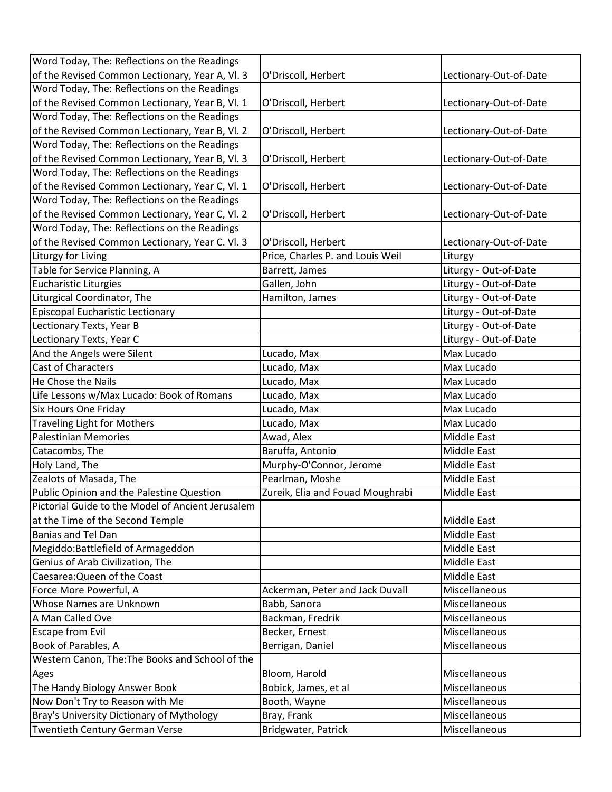| Word Today, The: Reflections on the Readings      |                                  |                        |
|---------------------------------------------------|----------------------------------|------------------------|
| of the Revised Common Lectionary, Year A, Vl. 3   | O'Driscoll, Herbert              | Lectionary-Out-of-Date |
| Word Today, The: Reflections on the Readings      |                                  |                        |
| of the Revised Common Lectionary, Year B, Vl. 1   | O'Driscoll, Herbert              | Lectionary-Out-of-Date |
| Word Today, The: Reflections on the Readings      |                                  |                        |
| of the Revised Common Lectionary, Year B, Vl. 2   | O'Driscoll, Herbert              | Lectionary-Out-of-Date |
| Word Today, The: Reflections on the Readings      |                                  |                        |
| of the Revised Common Lectionary, Year B, Vl. 3   | O'Driscoll, Herbert              | Lectionary-Out-of-Date |
| Word Today, The: Reflections on the Readings      |                                  |                        |
| of the Revised Common Lectionary, Year C, Vl. 1   | O'Driscoll, Herbert              | Lectionary-Out-of-Date |
| Word Today, The: Reflections on the Readings      |                                  |                        |
| of the Revised Common Lectionary, Year C, Vl. 2   | O'Driscoll, Herbert              | Lectionary-Out-of-Date |
| Word Today, The: Reflections on the Readings      |                                  |                        |
| of the Revised Common Lectionary, Year C. Vl. 3   | O'Driscoll, Herbert              | Lectionary-Out-of-Date |
| Liturgy for Living                                | Price, Charles P. and Louis Weil | Liturgy                |
| Table for Service Planning, A                     | Barrett, James                   | Liturgy - Out-of-Date  |
| <b>Eucharistic Liturgies</b>                      | Gallen, John                     | Liturgy - Out-of-Date  |
| Liturgical Coordinator, The                       | Hamilton, James                  | Liturgy - Out-of-Date  |
| Episcopal Eucharistic Lectionary                  |                                  | Liturgy - Out-of-Date  |
| Lectionary Texts, Year B                          |                                  | Liturgy - Out-of-Date  |
| Lectionary Texts, Year C                          |                                  | Liturgy - Out-of-Date  |
| And the Angels were Silent                        | Lucado, Max                      | Max Lucado             |
| <b>Cast of Characters</b>                         | Lucado, Max                      | Max Lucado             |
| He Chose the Nails                                | Lucado, Max                      | Max Lucado             |
| Life Lessons w/Max Lucado: Book of Romans         | Lucado, Max                      | Max Lucado             |
| <b>Six Hours One Friday</b>                       | Lucado, Max                      | Max Lucado             |
| <b>Traveling Light for Mothers</b>                | Lucado, Max                      | Max Lucado             |
| Palestinian Memories                              | Awad, Alex                       | Middle East            |
| Catacombs, The                                    | Baruffa, Antonio                 | Middle East            |
| Holy Land, The                                    | Murphy-O'Connor, Jerome          | Middle East            |
| Zealots of Masada, The                            | Pearlman, Moshe                  | Middle East            |
| Public Opinion and the Palestine Question         | Zureik, Elia and Fouad Moughrabi | Middle East            |
| Pictorial Guide to the Model of Ancient Jerusalem |                                  |                        |
| at the Time of the Second Temple                  |                                  | Middle East            |
| Banias and Tel Dan                                |                                  | Middle East            |
| Megiddo:Battlefield of Armageddon                 |                                  | Middle East            |
| Genius of Arab Civilization, The                  |                                  | Middle East            |
| Caesarea: Queen of the Coast                      |                                  | Middle East            |
| Force More Powerful, A                            | Ackerman, Peter and Jack Duvall  | Miscellaneous          |
| Whose Names are Unknown                           | Babb, Sanora                     | Miscellaneous          |
| A Man Called Ove                                  | Backman, Fredrik                 | <b>Miscellaneous</b>   |
| <b>Escape from Evil</b>                           | Becker, Ernest                   | Miscellaneous          |
| Book of Parables, A                               | Berrigan, Daniel                 | Miscellaneous          |
| Western Canon, The: The Books and School of the   |                                  |                        |
| Ages                                              | Bloom, Harold                    | Miscellaneous          |
| The Handy Biology Answer Book                     | Bobick, James, et al             | Miscellaneous          |
| Now Don't Try to Reason with Me                   | Booth, Wayne                     | Miscellaneous          |
| Bray's University Dictionary of Mythology         | Bray, Frank                      | Miscellaneous          |
| Twentieth Century German Verse                    | Bridgwater, Patrick              | Miscellaneous          |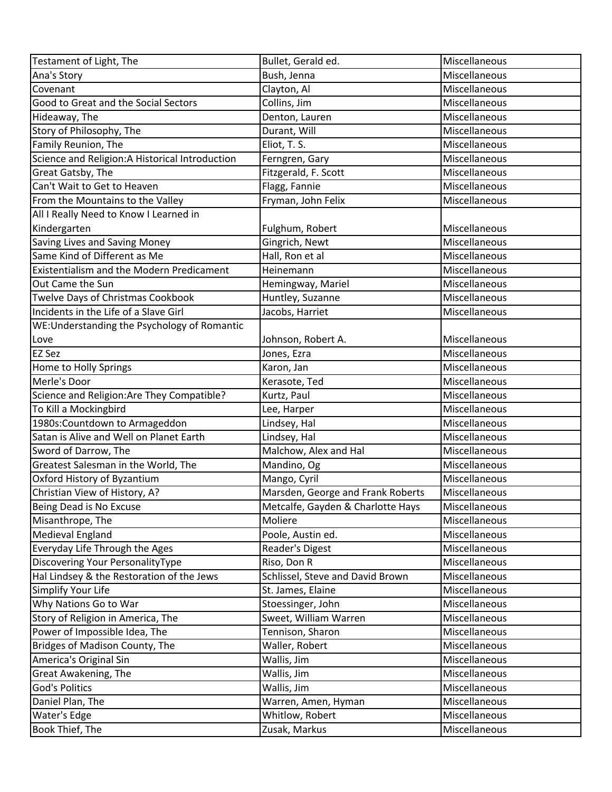| Testament of Light, The                          | Bullet, Gerald ed.                | Miscellaneous |
|--------------------------------------------------|-----------------------------------|---------------|
| Ana's Story                                      | Bush, Jenna                       | Miscellaneous |
| Covenant                                         | Clayton, Al                       | Miscellaneous |
| Good to Great and the Social Sectors             | Collins, Jim                      | Miscellaneous |
| Hideaway, The                                    | Denton, Lauren                    | Miscellaneous |
| Story of Philosophy, The                         | Durant, Will                      | Miscellaneous |
| Family Reunion, The                              | Eliot, T. S.                      | Miscellaneous |
| Science and Religion: A Historical Introduction  | Ferngren, Gary                    | Miscellaneous |
| Great Gatsby, The                                | Fitzgerald, F. Scott              | Miscellaneous |
| Can't Wait to Get to Heaven                      | Flagg, Fannie                     | Miscellaneous |
| From the Mountains to the Valley                 | Fryman, John Felix                | Miscellaneous |
| All I Really Need to Know I Learned in           |                                   |               |
| Kindergarten                                     | Fulghum, Robert                   | Miscellaneous |
| Saving Lives and Saving Money                    | Gingrich, Newt                    | Miscellaneous |
| Same Kind of Different as Me                     | Hall, Ron et al                   | Miscellaneous |
| <b>Existentialism and the Modern Predicament</b> | Heinemann                         | Miscellaneous |
| Out Came the Sun                                 | Hemingway, Mariel                 | Miscellaneous |
| Twelve Days of Christmas Cookbook                | Huntley, Suzanne                  | Miscellaneous |
| Incidents in the Life of a Slave Girl            | Jacobs, Harriet                   | Miscellaneous |
| WE:Understanding the Psychology of Romantic      |                                   |               |
| Love                                             | Johnson, Robert A.                | Miscellaneous |
| <b>EZ Sez</b>                                    | Jones, Ezra                       | Miscellaneous |
| Home to Holly Springs                            | Karon, Jan                        | Miscellaneous |
| Merle's Door                                     | Kerasote, Ted                     | Miscellaneous |
| Science and Religion: Are They Compatible?       | Kurtz, Paul                       | Miscellaneous |
| To Kill a Mockingbird                            | Lee, Harper                       | Miscellaneous |
| 1980s: Countdown to Armageddon                   | Lindsey, Hal                      | Miscellaneous |
| Satan is Alive and Well on Planet Earth          | Lindsey, Hal                      | Miscellaneous |
| Sword of Darrow, The                             | Malchow, Alex and Hal             | Miscellaneous |
| Greatest Salesman in the World, The              | Mandino, Og                       | Miscellaneous |
| Oxford History of Byzantium                      | Mango, Cyril                      | Miscellaneous |
| Christian View of History, A?                    | Marsden, George and Frank Roberts | Miscellaneous |
| Being Dead is No Excuse                          | Metcalfe, Gayden & Charlotte Hays | Miscellaneous |
| Misanthrope, The                                 | Moliere                           | Miscellaneous |
| Medieval England                                 | Poole, Austin ed.                 | Miscellaneous |
| Everyday Life Through the Ages                   | Reader's Digest                   | Miscellaneous |
| Discovering Your PersonalityType                 | Riso, Don R                       | Miscellaneous |
| Hal Lindsey & the Restoration of the Jews        | Schlissel, Steve and David Brown  | Miscellaneous |
| Simplify Your Life                               | St. James, Elaine                 | Miscellaneous |
| Why Nations Go to War                            | Stoessinger, John                 | Miscellaneous |
| Story of Religion in America, The                | Sweet, William Warren             | Miscellaneous |
| Power of Impossible Idea, The                    | Tennison, Sharon                  | Miscellaneous |
| Bridges of Madison County, The                   | Waller, Robert                    | Miscellaneous |
| America's Original Sin                           | Wallis, Jim                       | Miscellaneous |
| Great Awakening, The                             | Wallis, Jim                       | Miscellaneous |
| <b>God's Politics</b>                            | Wallis, Jim                       | Miscellaneous |
| Daniel Plan, The                                 | Warren, Amen, Hyman               | Miscellaneous |
| Water's Edge                                     | Whitlow, Robert                   | Miscellaneous |
| Book Thief, The                                  | Zusak, Markus                     | Miscellaneous |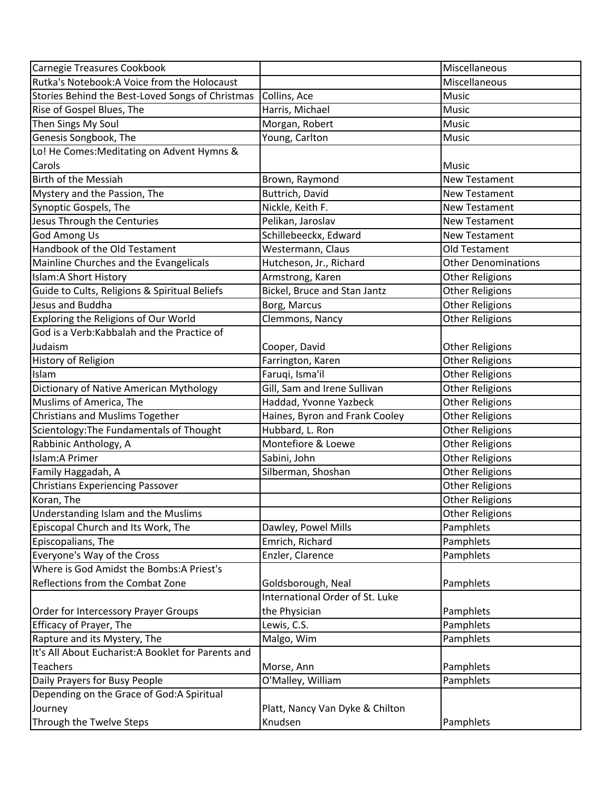| Carnegie Treasures Cookbook                         |                                 | Miscellaneous              |
|-----------------------------------------------------|---------------------------------|----------------------------|
| Rutka's Notebook: A Voice from the Holocaust        |                                 | Miscellaneous              |
| Stories Behind the Best-Loved Songs of Christmas    | Collins, Ace                    | Music                      |
| Rise of Gospel Blues, The                           | Harris, Michael                 | Music                      |
| Then Sings My Soul                                  | Morgan, Robert                  | Music                      |
| Genesis Songbook, The                               | Young, Carlton                  | Music                      |
| Lo! He Comes: Meditating on Advent Hymns &          |                                 |                            |
| Carols                                              |                                 | <b>Music</b>               |
| <b>Birth of the Messiah</b>                         | Brown, Raymond                  | <b>New Testament</b>       |
| Mystery and the Passion, The                        | Buttrich, David                 | <b>New Testament</b>       |
| Synoptic Gospels, The                               | Nickle, Keith F.                | New Testament              |
| Jesus Through the Centuries                         | Pelikan, Jaroslav               | <b>New Testament</b>       |
| God Among Us                                        | Schillebeeckx, Edward           | <b>New Testament</b>       |
| Handbook of the Old Testament                       | Westermann, Claus               | Old Testament              |
| Mainline Churches and the Evangelicals              | Hutcheson, Jr., Richard         | <b>Other Denominations</b> |
| Islam: A Short History                              | Armstrong, Karen                | Other Religions            |
| Guide to Cults, Religions & Spiritual Beliefs       | Bickel, Bruce and Stan Jantz    | Other Religions            |
| Jesus and Buddha                                    | Borg, Marcus                    | <b>Other Religions</b>     |
| Exploring the Religions of Our World                | Clemmons, Nancy                 | <b>Other Religions</b>     |
| God is a Verb: Kabbalah and the Practice of         |                                 |                            |
| Judaism                                             | Cooper, David                   | <b>Other Religions</b>     |
| History of Religion                                 | Farrington, Karen               | Other Religions            |
| Islam                                               | Faruqi, Isma'il                 | Other Religions            |
| Dictionary of Native American Mythology             | Gill, Sam and Irene Sullivan    | Other Religions            |
| Muslims of America, The                             | Haddad, Yvonne Yazbeck          | <b>Other Religions</b>     |
| <b>Christians and Muslims Together</b>              | Haines, Byron and Frank Cooley  | Other Religions            |
| Scientology: The Fundamentals of Thought            | Hubbard, L. Ron                 | <b>Other Religions</b>     |
| Rabbinic Anthology, A                               | Montefiore & Loewe              | <b>Other Religions</b>     |
| Islam: A Primer                                     | Sabini, John                    | <b>Other Religions</b>     |
| Family Haggadah, A                                  | Silberman, Shoshan              | <b>Other Religions</b>     |
| <b>Christians Experiencing Passover</b>             |                                 | <b>Other Religions</b>     |
| Koran, The                                          |                                 | <b>Other Religions</b>     |
| Understanding Islam and the Muslims                 |                                 | <b>Other Religions</b>     |
| Episcopal Church and Its Work, The                  | Dawley, Powel Mills             | Pamphlets                  |
| Episcopalians, The                                  | Emrich, Richard                 | Pamphlets                  |
| Everyone's Way of the Cross                         | Enzler, Clarence                | Pamphlets                  |
| Where is God Amidst the Bombs: A Priest's           |                                 |                            |
| Reflections from the Combat Zone                    | Goldsborough, Neal              | Pamphlets                  |
|                                                     | International Order of St. Luke |                            |
| Order for Intercessory Prayer Groups                | the Physician                   | Pamphlets                  |
| Efficacy of Prayer, The                             | Lewis, C.S.                     | Pamphlets                  |
| Rapture and its Mystery, The                        | Malgo, Wim                      | Pamphlets                  |
| It's All About Eucharist: A Booklet for Parents and |                                 |                            |
| <b>Teachers</b>                                     | Morse, Ann                      | Pamphlets                  |
| Daily Prayers for Busy People                       | O'Malley, William               | Pamphlets                  |
| Depending on the Grace of God:A Spiritual           |                                 |                            |
| Journey                                             | Platt, Nancy Van Dyke & Chilton |                            |
| Through the Twelve Steps                            | Knudsen                         | Pamphlets                  |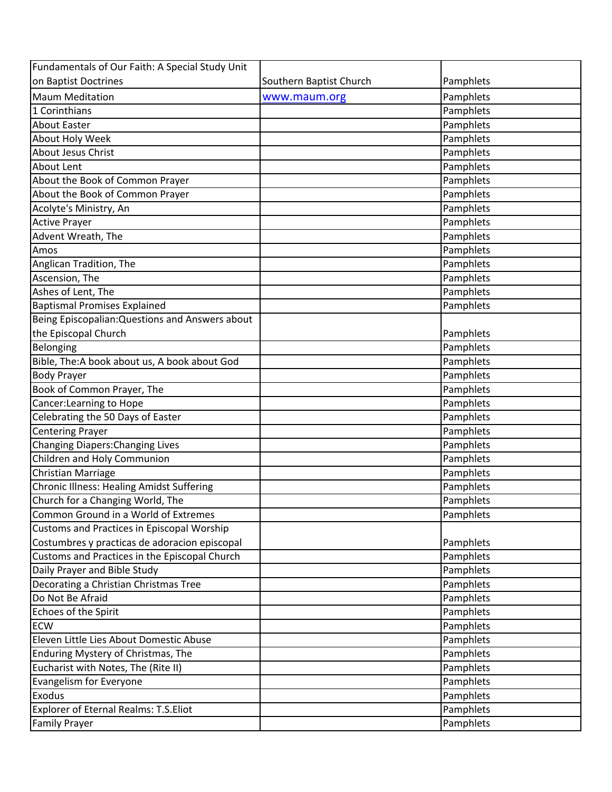| Fundamentals of Our Faith: A Special Study Unit  |                         |           |
|--------------------------------------------------|-------------------------|-----------|
| on Baptist Doctrines                             | Southern Baptist Church | Pamphlets |
| <b>Maum Meditation</b>                           | www.maum.org            | Pamphlets |
| 1 Corinthians                                    |                         | Pamphlets |
| About Easter                                     |                         | Pamphlets |
| About Holy Week                                  |                         | Pamphlets |
| About Jesus Christ                               |                         | Pamphlets |
| About Lent                                       |                         | Pamphlets |
| About the Book of Common Prayer                  |                         | Pamphlets |
| About the Book of Common Prayer                  |                         | Pamphlets |
| Acolyte's Ministry, An                           |                         | Pamphlets |
| Active Prayer                                    |                         | Pamphlets |
| Advent Wreath, The                               |                         | Pamphlets |
| Amos                                             |                         | Pamphlets |
| Anglican Tradition, The                          |                         | Pamphlets |
| Ascension, The                                   |                         | Pamphlets |
| Ashes of Lent, The                               |                         | Pamphlets |
| <b>Baptismal Promises Explained</b>              |                         | Pamphlets |
| Being Episcopalian: Questions and Answers about  |                         |           |
| the Episcopal Church                             |                         | Pamphlets |
| Belonging                                        |                         | Pamphlets |
| Bible, The:A book about us, A book about God     |                         | Pamphlets |
| <b>Body Prayer</b>                               |                         | Pamphlets |
| Book of Common Prayer, The                       |                         | Pamphlets |
| Cancer: Learning to Hope                         |                         | Pamphlets |
| Celebrating the 50 Days of Easter                |                         | Pamphlets |
| <b>Centering Prayer</b>                          |                         | Pamphlets |
| <b>Changing Diapers: Changing Lives</b>          |                         | Pamphlets |
| Children and Holy Communion                      |                         | Pamphlets |
| <b>Christian Marriage</b>                        |                         | Pamphlets |
| <b>Chronic Illness: Healing Amidst Suffering</b> |                         | Pamphlets |
| Church for a Changing World, The                 |                         | Pamphlets |
| Common Ground in a World of Extremes             |                         | Pamphlets |
| Customs and Practices in Episcopal Worship       |                         |           |
| Costumbres y practicas de adoracion episcopal    |                         | Pamphlets |
| Customs and Practices in the Episcopal Church    |                         | Pamphlets |
| Daily Prayer and Bible Study                     |                         | Pamphlets |
| Decorating a Christian Christmas Tree            |                         | Pamphlets |
| Do Not Be Afraid                                 |                         | Pamphlets |
| Echoes of the Spirit                             |                         | Pamphlets |
| <b>ECW</b>                                       |                         | Pamphlets |
| Eleven Little Lies About Domestic Abuse          |                         | Pamphlets |
| Enduring Mystery of Christmas, The               |                         | Pamphlets |
| Eucharist with Notes, The (Rite II)              |                         | Pamphlets |
| Evangelism for Everyone                          |                         | Pamphlets |
| Exodus                                           |                         | Pamphlets |
| Explorer of Eternal Realms: T.S.Eliot            |                         | Pamphlets |
| <b>Family Prayer</b>                             |                         | Pamphlets |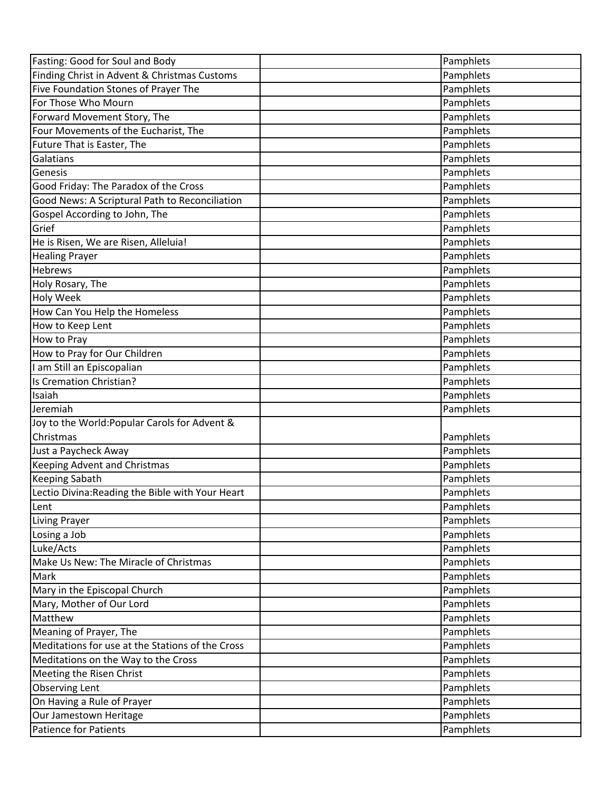| Fasting: Good for Soul and Body                  | Pamphlets |
|--------------------------------------------------|-----------|
| Finding Christ in Advent & Christmas Customs     | Pamphlets |
| Five Foundation Stones of Prayer The             | Pamphlets |
| For Those Who Mourn                              | Pamphlets |
| Forward Movement Story, The                      | Pamphlets |
| Four Movements of the Eucharist, The             | Pamphlets |
| Future That is Easter, The                       | Pamphlets |
| Galatians                                        | Pamphlets |
| Genesis                                          | Pamphlets |
| Good Friday: The Paradox of the Cross            | Pamphlets |
| Good News: A Scriptural Path to Reconciliation   | Pamphlets |
| Gospel According to John, The                    | Pamphlets |
| Grief                                            | Pamphlets |
| He is Risen, We are Risen, Alleluia!             | Pamphlets |
| <b>Healing Prayer</b>                            | Pamphlets |
| <b>Hebrews</b>                                   | Pamphlets |
| Holy Rosary, The                                 | Pamphlets |
| Holy Week                                        | Pamphlets |
| How Can You Help the Homeless                    | Pamphlets |
| How to Keep Lent                                 | Pamphlets |
| How to Pray                                      | Pamphlets |
| How to Pray for Our Children                     | Pamphlets |
| I am Still an Episcopalian                       | Pamphlets |
| Is Cremation Christian?                          | Pamphlets |
| Isaiah                                           | Pamphlets |
| Jeremiah                                         | Pamphlets |
| Joy to the World: Popular Carols for Advent &    |           |
| Christmas                                        | Pamphlets |
| Just a Paycheck Away                             | Pamphlets |
| Keeping Advent and Christmas                     | Pamphlets |
| Keeping Sabath                                   | Pamphlets |
| Lectio Divina: Reading the Bible with Your Heart | Pamphlets |
| Lent                                             | Pamphlets |
| <b>Living Prayer</b>                             | Pamphlets |
| Losing a Job                                     | Pamphlets |
| Luke/Acts                                        | Pamphlets |
| Make Us New: The Miracle of Christmas            | Pamphlets |
| Mark                                             | Pamphlets |
| Mary in the Episcopal Church                     | Pamphlets |
| Mary, Mother of Our Lord                         | Pamphlets |
| Matthew                                          | Pamphlets |
| Meaning of Prayer, The                           | Pamphlets |
| Meditations for use at the Stations of the Cross | Pamphlets |
| Meditations on the Way to the Cross              | Pamphlets |
| Meeting the Risen Christ                         | Pamphlets |
| <b>Observing Lent</b>                            | Pamphlets |
| On Having a Rule of Prayer                       | Pamphlets |
| Our Jamestown Heritage                           | Pamphlets |
| Patience for Patients                            | Pamphlets |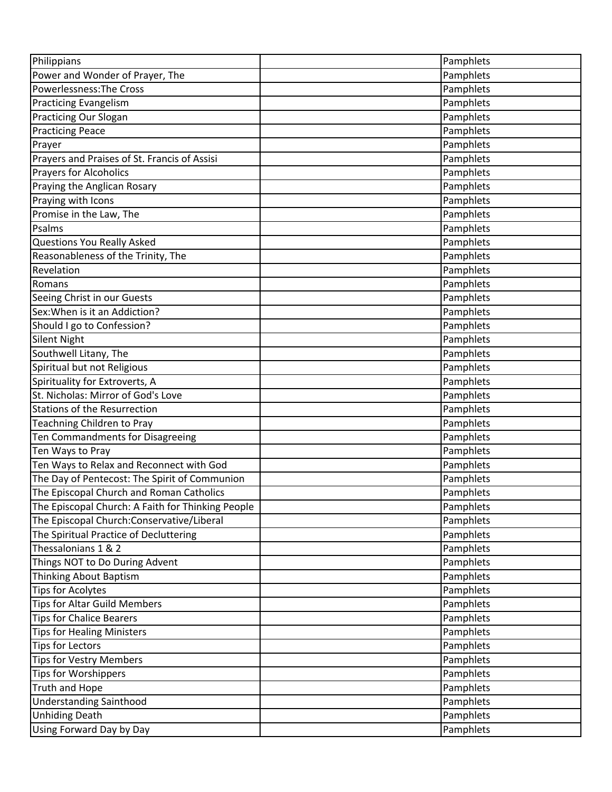| Philippians                                       | Pamphlets |
|---------------------------------------------------|-----------|
| Power and Wonder of Prayer, The                   | Pamphlets |
| Powerlessness: The Cross                          | Pamphlets |
| <b>Practicing Evangelism</b>                      | Pamphlets |
| Practicing Our Slogan                             | Pamphlets |
| <b>Practicing Peace</b>                           | Pamphlets |
| Prayer                                            | Pamphlets |
| Prayers and Praises of St. Francis of Assisi      | Pamphlets |
| <b>Prayers for Alcoholics</b>                     | Pamphlets |
| Praying the Anglican Rosary                       | Pamphlets |
| Praying with Icons                                | Pamphlets |
| Promise in the Law, The                           | Pamphlets |
| Psalms                                            | Pamphlets |
| <b>Questions You Really Asked</b>                 | Pamphlets |
| Reasonableness of the Trinity, The                | Pamphlets |
| Revelation                                        | Pamphlets |
| Romans                                            | Pamphlets |
| Seeing Christ in our Guests                       | Pamphlets |
| Sex: When is it an Addiction?                     | Pamphlets |
| Should I go to Confession?                        | Pamphlets |
| Silent Night                                      | Pamphlets |
| Southwell Litany, The                             | Pamphlets |
| Spiritual but not Religious                       | Pamphlets |
| Spirituality for Extroverts, A                    | Pamphlets |
| St. Nicholas: Mirror of God's Love                | Pamphlets |
| <b>Stations of the Resurrection</b>               | Pamphlets |
| Teachning Children to Pray                        | Pamphlets |
| Ten Commandments for Disagreeing                  | Pamphlets |
| Ten Ways to Pray                                  | Pamphlets |
| Ten Ways to Relax and Reconnect with God          | Pamphlets |
| The Day of Pentecost: The Spirit of Communion     | Pamphlets |
| The Episcopal Church and Roman Catholics          | Pamphlets |
| The Episcopal Church: A Faith for Thinking People | Pamphlets |
| The Episcopal Church: Conservative/Liberal        | Pamphlets |
| The Spiritual Practice of Decluttering            | Pamphlets |
| Thessalonians 1 & 2                               | Pamphlets |
| Things NOT to Do During Advent                    | Pamphlets |
| Thinking About Baptism                            | Pamphlets |
| <b>Tips for Acolytes</b>                          | Pamphlets |
| <b>Tips for Altar Guild Members</b>               | Pamphlets |
| <b>Tips for Chalice Bearers</b>                   | Pamphlets |
| <b>Tips for Healing Ministers</b>                 | Pamphlets |
| <b>Tips for Lectors</b>                           | Pamphlets |
| <b>Tips for Vestry Members</b>                    | Pamphlets |
| <b>Tips for Worshippers</b>                       | Pamphlets |
| <b>Truth and Hope</b>                             | Pamphlets |
| <b>Understanding Sainthood</b>                    | Pamphlets |
| <b>Unhiding Death</b>                             | Pamphlets |
| Using Forward Day by Day                          | Pamphlets |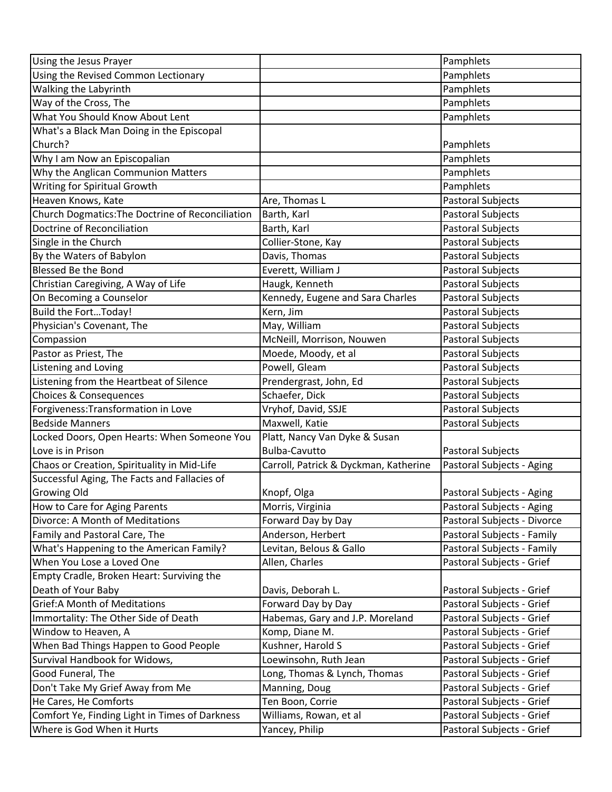| Using the Jesus Prayer                           |                                       | Pamphlets                   |
|--------------------------------------------------|---------------------------------------|-----------------------------|
| Using the Revised Common Lectionary              |                                       | Pamphlets                   |
| Walking the Labyrinth                            |                                       | Pamphlets                   |
| Way of the Cross, The                            |                                       | Pamphlets                   |
| What You Should Know About Lent                  |                                       | Pamphlets                   |
| What's a Black Man Doing in the Episcopal        |                                       |                             |
| Church?                                          |                                       | Pamphlets                   |
| Why I am Now an Episcopalian                     |                                       | Pamphlets                   |
| Why the Anglican Communion Matters               |                                       | Pamphlets                   |
| Writing for Spiritual Growth                     |                                       | Pamphlets                   |
| Heaven Knows, Kate                               | Are, Thomas L                         | Pastoral Subjects           |
| Church Dogmatics: The Doctrine of Reconciliation | Barth, Karl                           | Pastoral Subjects           |
| Doctrine of Reconciliation                       | Barth, Karl                           | Pastoral Subjects           |
| Single in the Church                             | Collier-Stone, Kay                    | Pastoral Subjects           |
| By the Waters of Babylon                         | Davis, Thomas                         | Pastoral Subjects           |
| <b>Blessed Be the Bond</b>                       | Everett, William J                    | Pastoral Subjects           |
| Christian Caregiving, A Way of Life              | Haugk, Kenneth                        | Pastoral Subjects           |
| On Becoming a Counselor                          | Kennedy, Eugene and Sara Charles      | <b>Pastoral Subjects</b>    |
| <b>Build the FortToday!</b>                      | Kern, Jim                             | Pastoral Subjects           |
| Physician's Covenant, The                        | May, William                          | Pastoral Subjects           |
| Compassion                                       | McNeill, Morrison, Nouwen             | Pastoral Subjects           |
| Pastor as Priest, The                            | Moede, Moody, et al                   | Pastoral Subjects           |
| Listening and Loving                             | Powell, Gleam                         | Pastoral Subjects           |
| Listening from the Heartbeat of Silence          | Prendergrast, John, Ed                | Pastoral Subjects           |
| <b>Choices &amp; Consequences</b>                | Schaefer, Dick                        | Pastoral Subjects           |
| Forgiveness: Transformation in Love              | Vryhof, David, SSJE                   | Pastoral Subjects           |
| <b>Bedside Manners</b>                           | Maxwell, Katie                        | Pastoral Subjects           |
| Locked Doors, Open Hearts: When Someone You      | Platt, Nancy Van Dyke & Susan         |                             |
| Love is in Prison                                | <b>Bulba-Cavutto</b>                  | <b>Pastoral Subjects</b>    |
| Chaos or Creation, Spirituality in Mid-Life      | Carroll, Patrick & Dyckman, Katherine | Pastoral Subjects - Aging   |
| Successful Aging, The Facts and Fallacies of     |                                       |                             |
| Growing Old                                      | Knopf, Olga                           | Pastoral Subjects - Aging   |
| How to Care for Aging Parents                    | Morris, Virginia                      | Pastoral Subjects - Aging   |
| Divorce: A Month of Meditations                  | Forward Day by Day                    | Pastoral Subjects - Divorce |
| Family and Pastoral Care, The                    | Anderson, Herbert                     | Pastoral Subjects - Family  |
| What's Happening to the American Family?         | Levitan, Belous & Gallo               | Pastoral Subjects - Family  |
| When You Lose a Loved One                        | Allen, Charles                        | Pastoral Subjects - Grief   |
| Empty Cradle, Broken Heart: Surviving the        |                                       |                             |
| Death of Your Baby                               | Davis, Deborah L.                     | Pastoral Subjects - Grief   |
| <b>Grief:A Month of Meditations</b>              | Forward Day by Day                    | Pastoral Subjects - Grief   |
| Immortality: The Other Side of Death             | Habemas, Gary and J.P. Moreland       | Pastoral Subjects - Grief   |
| Window to Heaven, A                              | Komp, Diane M.                        | Pastoral Subjects - Grief   |
| When Bad Things Happen to Good People            | Kushner, Harold S                     | Pastoral Subjects - Grief   |
| Survival Handbook for Widows,                    | Loewinsohn, Ruth Jean                 | Pastoral Subjects - Grief   |
| Good Funeral, The                                | Long, Thomas & Lynch, Thomas          | Pastoral Subjects - Grief   |
| Don't Take My Grief Away from Me                 | Manning, Doug                         | Pastoral Subjects - Grief   |
| He Cares, He Comforts                            | Ten Boon, Corrie                      | Pastoral Subjects - Grief   |
| Comfort Ye, Finding Light in Times of Darkness   | Williams, Rowan, et al                | Pastoral Subjects - Grief   |
| Where is God When it Hurts                       | Yancey, Philip                        | Pastoral Subjects - Grief   |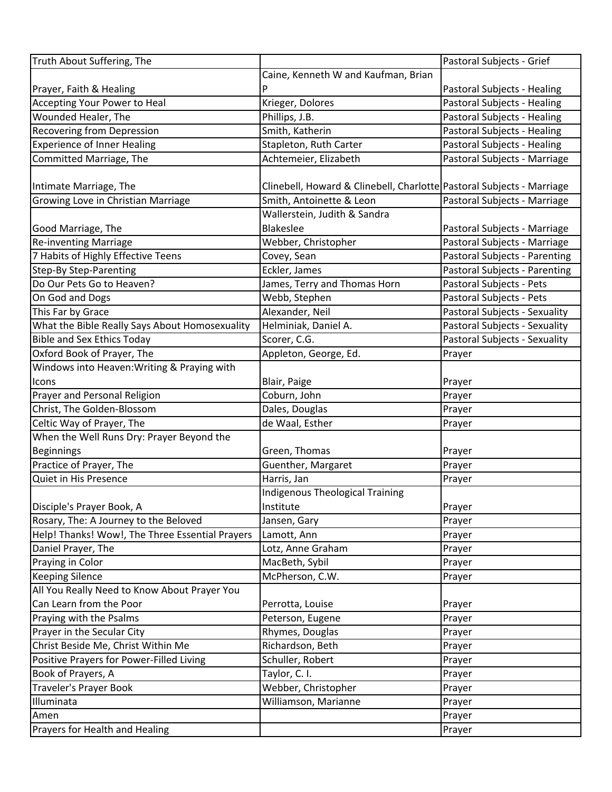| Truth About Suffering, The                      |                                                                       | Pastoral Subjects - Grief     |
|-------------------------------------------------|-----------------------------------------------------------------------|-------------------------------|
|                                                 | Caine, Kenneth W and Kaufman, Brian                                   |                               |
| Prayer, Faith & Healing                         | P                                                                     | Pastoral Subjects - Healing   |
| Accepting Your Power to Heal                    | Krieger, Dolores                                                      | Pastoral Subjects - Healing   |
| Wounded Healer, The                             | Phillips, J.B.                                                        | Pastoral Subjects - Healing   |
| <b>Recovering from Depression</b>               | Smith, Katherin                                                       | Pastoral Subjects - Healing   |
| <b>Experience of Inner Healing</b>              | Stapleton, Ruth Carter                                                | Pastoral Subjects - Healing   |
| Committed Marriage, The                         | Achtemeier, Elizabeth                                                 | Pastoral Subjects - Marriage  |
|                                                 |                                                                       |                               |
| Intimate Marriage, The                          | Clinebell, Howard & Clinebell, Charlotte Pastoral Subjects - Marriage |                               |
| Growing Love in Christian Marriage              | Smith, Antoinette & Leon                                              | Pastoral Subjects - Marriage  |
|                                                 | Wallerstein, Judith & Sandra                                          |                               |
| Good Marriage, The                              | Blakeslee                                                             | Pastoral Subjects - Marriage  |
| <b>Re-inventing Marriage</b>                    | Webber, Christopher                                                   | Pastoral Subjects - Marriage  |
| 7 Habits of Highly Effective Teens              | Covey, Sean                                                           | Pastoral Subjects - Parenting |
| <b>Step-By Step-Parenting</b>                   | Eckler, James                                                         | Pastoral Subjects - Parenting |
| Do Our Pets Go to Heaven?                       | James, Terry and Thomas Horn                                          | Pastoral Subjects - Pets      |
| On God and Dogs                                 | Webb, Stephen                                                         | Pastoral Subjects - Pets      |
| This Far by Grace                               | Alexander, Neil                                                       | Pastoral Subjects - Sexuality |
| What the Bible Really Says About Homosexuality  | Helminiak, Daniel A.                                                  | Pastoral Subjects - Sexuality |
| <b>Bible and Sex Ethics Today</b>               | Scorer, C.G.                                                          | Pastoral Subjects - Sexuality |
| Oxford Book of Prayer, The                      | Appleton, George, Ed.                                                 | Prayer                        |
| Windows into Heaven: Writing & Praying with     |                                                                       |                               |
| Icons                                           | Blair, Paige                                                          | Prayer                        |
| Prayer and Personal Religion                    | Coburn, John                                                          | Prayer                        |
| Christ, The Golden-Blossom                      | Dales, Douglas                                                        | Prayer                        |
| Celtic Way of Prayer, The                       | de Waal, Esther                                                       | Prayer                        |
| When the Well Runs Dry: Prayer Beyond the       |                                                                       |                               |
| Beginnings                                      | Green, Thomas                                                         | Prayer                        |
| Practice of Prayer, The                         | Guenther, Margaret                                                    | Prayer                        |
| Quiet in His Presence                           | Harris, Jan                                                           | Prayer                        |
|                                                 | <b>Indigenous Theological Training</b>                                |                               |
| Disciple's Prayer Book, A                       | Institute                                                             | Prayer                        |
| Rosary, The: A Journey to the Beloved           | Jansen, Gary                                                          | Prayer                        |
| Help! Thanks! Wow!, The Three Essential Prayers | Lamott, Ann                                                           | Prayer                        |
| Daniel Prayer, The                              | Lotz, Anne Graham                                                     | Prayer                        |
| Praying in Color                                | MacBeth, Sybil                                                        | Prayer                        |
| <b>Keeping Silence</b>                          | McPherson, C.W.                                                       | Prayer                        |
| All You Really Need to Know About Prayer You    |                                                                       |                               |
| Can Learn from the Poor                         | Perrotta, Louise                                                      | Prayer                        |
| Praying with the Psalms                         | Peterson, Eugene                                                      | Prayer                        |
| Prayer in the Secular City                      | Rhymes, Douglas                                                       | Prayer                        |
| Christ Beside Me, Christ Within Me              | Richardson, Beth                                                      | Prayer                        |
| Positive Prayers for Power-Filled Living        | Schuller, Robert                                                      | Prayer                        |
| Book of Prayers, A                              | Taylor, C. I.                                                         | Prayer                        |
| <b>Traveler's Prayer Book</b>                   | Webber, Christopher                                                   | Prayer                        |
| Illuminata                                      | Williamson, Marianne                                                  | Prayer                        |
| Amen                                            |                                                                       | Prayer                        |
| Prayers for Health and Healing                  |                                                                       | Prayer                        |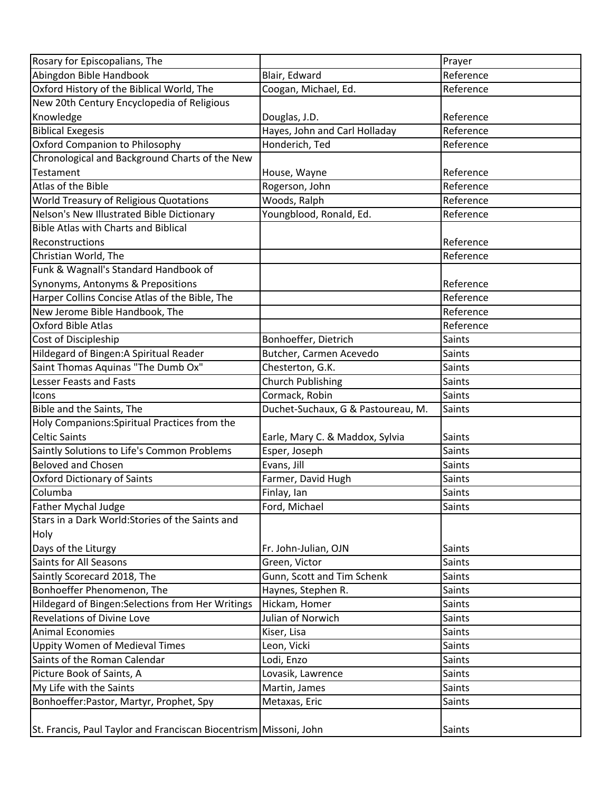| Rosary for Episcopalians, The                                     |                                    | Prayer        |
|-------------------------------------------------------------------|------------------------------------|---------------|
| Abingdon Bible Handbook                                           | Blair, Edward                      | Reference     |
| Oxford History of the Biblical World, The                         | Coogan, Michael, Ed.               | Reference     |
| New 20th Century Encyclopedia of Religious                        |                                    |               |
| Knowledge                                                         | Douglas, J.D.                      | Reference     |
| <b>Biblical Exegesis</b>                                          | Hayes, John and Carl Holladay      | Reference     |
| Oxford Companion to Philosophy                                    | Honderich, Ted                     | Reference     |
| Chronological and Background Charts of the New                    |                                    |               |
| Testament                                                         | House, Wayne                       | Reference     |
| Atlas of the Bible                                                | Rogerson, John                     | Reference     |
| World Treasury of Religious Quotations                            | Woods, Ralph                       | Reference     |
| Nelson's New Illustrated Bible Dictionary                         | Youngblood, Ronald, Ed.            | Reference     |
| <b>Bible Atlas with Charts and Biblical</b>                       |                                    |               |
| Reconstructions                                                   |                                    | Reference     |
| Christian World, The                                              |                                    | Reference     |
| Funk & Wagnall's Standard Handbook of                             |                                    |               |
| Synonyms, Antonyms & Prepositions                                 |                                    | Reference     |
| Harper Collins Concise Atlas of the Bible, The                    |                                    | Reference     |
| New Jerome Bible Handbook, The                                    |                                    | Reference     |
| Oxford Bible Atlas                                                |                                    | Reference     |
| Cost of Discipleship                                              | Bonhoeffer, Dietrich               | Saints        |
| Hildegard of Bingen: A Spiritual Reader                           | Butcher, Carmen Acevedo            | Saints        |
| Saint Thomas Aquinas "The Dumb Ox"                                | Chesterton, G.K.                   | Saints        |
| Lesser Feasts and Fasts                                           | <b>Church Publishing</b>           | <b>Saints</b> |
| Icons                                                             | Cormack, Robin                     | <b>Saints</b> |
| Bible and the Saints, The                                         | Duchet-Suchaux, G & Pastoureau, M. | <b>Saints</b> |
| Holy Companions: Spiritual Practices from the                     |                                    |               |
| <b>Celtic Saints</b>                                              | Earle, Mary C. & Maddox, Sylvia    | Saints        |
| Saintly Solutions to Life's Common Problems                       | Esper, Joseph                      | Saints        |
| <b>Beloved and Chosen</b>                                         | Evans, Jill                        | Saints        |
| <b>Oxford Dictionary of Saints</b>                                | Farmer, David Hugh                 | Saints        |
| Columba                                                           | Finlay, Ian                        | Saints        |
| <b>Father Mychal Judge</b>                                        | Ford, Michael                      | Saints        |
| Stars in a Dark World: Stories of the Saints and                  |                                    |               |
| Holy                                                              |                                    |               |
| Days of the Liturgy                                               | Fr. John-Julian, OJN               | Saints        |
| Saints for All Seasons                                            | Green, Victor                      | Saints        |
| Saintly Scorecard 2018, The                                       | Gunn, Scott and Tim Schenk         | Saints        |
| Bonhoeffer Phenomenon, The                                        | Haynes, Stephen R.                 | <b>Saints</b> |
| Hildegard of Bingen: Selections from Her Writings                 | Hickam, Homer                      | Saints        |
| <b>Revelations of Divine Love</b>                                 | Julian of Norwich                  | <b>Saints</b> |
| <b>Animal Economies</b>                                           | Kiser, Lisa                        | <b>Saints</b> |
| Uppity Women of Medieval Times                                    | Leon, Vicki                        | Saints        |
| Saints of the Roman Calendar                                      | Lodi, Enzo                         | Saints        |
| Picture Book of Saints, A                                         | Lovasik, Lawrence                  | Saints        |
| My Life with the Saints                                           | Martin, James                      | Saints        |
| Bonhoeffer:Pastor, Martyr, Prophet, Spy                           | Metaxas, Eric                      | Saints        |
|                                                                   |                                    |               |
| St. Francis, Paul Taylor and Franciscan Biocentrism Missoni, John |                                    | Saints        |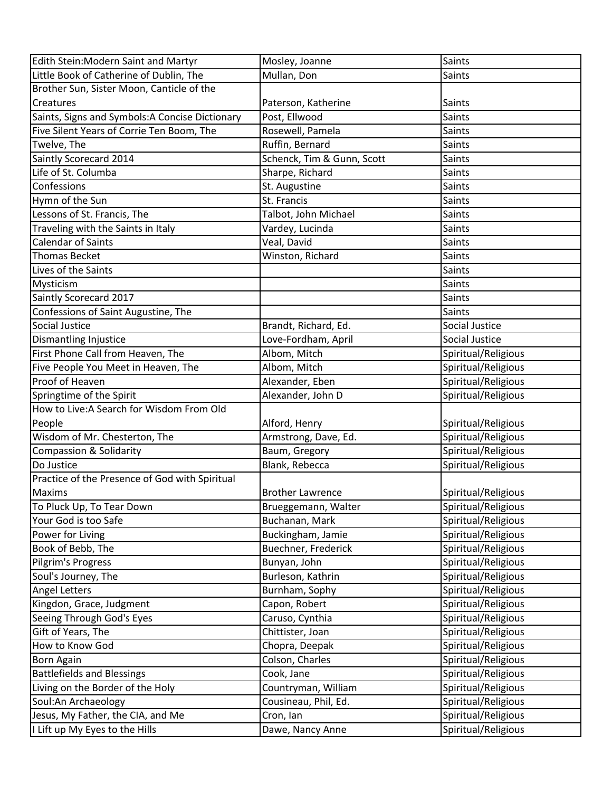| Edith Stein: Modern Saint and Martyr            | Mosley, Joanne             | Saints              |
|-------------------------------------------------|----------------------------|---------------------|
| Little Book of Catherine of Dublin, The         | Mullan, Don                | Saints              |
| Brother Sun, Sister Moon, Canticle of the       |                            |                     |
| Creatures                                       | Paterson, Katherine        | Saints              |
| Saints, Signs and Symbols: A Concise Dictionary | Post, Ellwood              | <b>Saints</b>       |
| Five Silent Years of Corrie Ten Boom, The       | Rosewell, Pamela           | Saints              |
| Twelve, The                                     | Ruffin, Bernard            | Saints              |
| Saintly Scorecard 2014                          | Schenck, Tim & Gunn, Scott | Saints              |
| Life of St. Columba                             | Sharpe, Richard            | Saints              |
| Confessions                                     | St. Augustine              | Saints              |
| Hymn of the Sun                                 | St. Francis                | Saints              |
| Lessons of St. Francis, The                     | Talbot, John Michael       | Saints              |
| Traveling with the Saints in Italy              | Vardey, Lucinda            | Saints              |
| <b>Calendar of Saints</b>                       | Veal, David                | Saints              |
| <b>Thomas Becket</b>                            | Winston, Richard           | Saints              |
| Lives of the Saints                             |                            | Saints              |
| Mysticism                                       |                            | Saints              |
| Saintly Scorecard 2017                          |                            | <b>Saints</b>       |
| Confessions of Saint Augustine, The             |                            | Saints              |
| Social Justice                                  | Brandt, Richard, Ed.       | Social Justice      |
| <b>Dismantling Injustice</b>                    | Love-Fordham, April        | Social Justice      |
| First Phone Call from Heaven, The               | Albom, Mitch               | Spiritual/Religious |
| Five People You Meet in Heaven, The             | Albom, Mitch               | Spiritual/Religious |
| Proof of Heaven                                 | Alexander, Eben            | Spiritual/Religious |
| Springtime of the Spirit                        | Alexander, John D          | Spiritual/Religious |
| How to Live: A Search for Wisdom From Old       |                            |                     |
| People                                          | Alford, Henry              | Spiritual/Religious |
| Wisdom of Mr. Chesterton, The                   | Armstrong, Dave, Ed.       | Spiritual/Religious |
| <b>Compassion &amp; Solidarity</b>              | Baum, Gregory              | Spiritual/Religious |
| Do Justice                                      | Blank, Rebecca             | Spiritual/Religious |
| Practice of the Presence of God with Spiritual  |                            |                     |
| Maxims                                          | <b>Brother Lawrence</b>    | Spiritual/Religious |
| To Pluck Up, To Tear Down                       | Brueggemann, Walter        | Spiritual/Religious |
| Your God is too Safe                            | Buchanan, Mark             | Spiritual/Religious |
| Power for Living                                | Buckingham, Jamie          | Spiritual/Religious |
| Book of Bebb, The                               | Buechner, Frederick        | Spiritual/Religious |
| Pilgrim's Progress                              | Bunyan, John               | Spiritual/Religious |
| Soul's Journey, The                             | Burleson, Kathrin          | Spiritual/Religious |
| <b>Angel Letters</b>                            | Burnham, Sophy             | Spiritual/Religious |
| Kingdon, Grace, Judgment                        | Capon, Robert              | Spiritual/Religious |
| Seeing Through God's Eyes                       | Caruso, Cynthia            | Spiritual/Religious |
| Gift of Years, The                              | Chittister, Joan           | Spiritual/Religious |
| How to Know God                                 | Chopra, Deepak             | Spiritual/Religious |
| <b>Born Again</b>                               | Colson, Charles            | Spiritual/Religious |
| <b>Battlefields and Blessings</b>               | Cook, Jane                 | Spiritual/Religious |
| Living on the Border of the Holy                | Countryman, William        | Spiritual/Religious |
| Soul:An Archaeology                             | Cousineau, Phil, Ed.       | Spiritual/Religious |
| Jesus, My Father, the CIA, and Me               | Cron, Ian                  | Spiritual/Religious |
| I Lift up My Eyes to the Hills                  | Dawe, Nancy Anne           | Spiritual/Religious |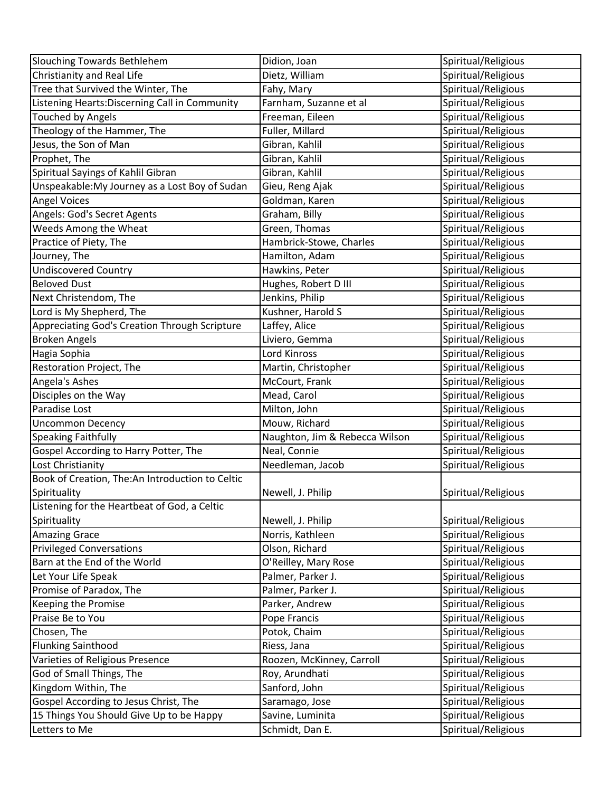| <b>Slouching Towards Bethlehem</b>              | Didion, Joan                   | Spiritual/Religious |
|-------------------------------------------------|--------------------------------|---------------------|
| Christianity and Real Life                      | Dietz, William                 | Spiritual/Religious |
| Tree that Survived the Winter, The              | Fahy, Mary                     | Spiritual/Religious |
| Listening Hearts: Discerning Call in Community  | Farnham, Suzanne et al         | Spiritual/Religious |
| <b>Touched by Angels</b>                        | Freeman, Eileen                | Spiritual/Religious |
| Theology of the Hammer, The                     | Fuller, Millard                | Spiritual/Religious |
| Jesus, the Son of Man                           | Gibran, Kahlil                 | Spiritual/Religious |
| Prophet, The                                    | Gibran, Kahlil                 | Spiritual/Religious |
| Spiritual Sayings of Kahlil Gibran              | Gibran, Kahlil                 | Spiritual/Religious |
| Unspeakable: My Journey as a Lost Boy of Sudan  | Gieu, Reng Ajak                | Spiritual/Religious |
| <b>Angel Voices</b>                             | Goldman, Karen                 | Spiritual/Religious |
| Angels: God's Secret Agents                     | Graham, Billy                  | Spiritual/Religious |
| Weeds Among the Wheat                           | Green, Thomas                  | Spiritual/Religious |
| Practice of Piety, The                          | Hambrick-Stowe, Charles        | Spiritual/Religious |
| Journey, The                                    | Hamilton, Adam                 | Spiritual/Religious |
| <b>Undiscovered Country</b>                     | Hawkins, Peter                 | Spiritual/Religious |
| <b>Beloved Dust</b>                             | Hughes, Robert D III           | Spiritual/Religious |
| Next Christendom, The                           | Jenkins, Philip                | Spiritual/Religious |
| Lord is My Shepherd, The                        | Kushner, Harold S              | Spiritual/Religious |
| Appreciating God's Creation Through Scripture   | Laffey, Alice                  | Spiritual/Religious |
| <b>Broken Angels</b>                            | Liviero, Gemma                 | Spiritual/Religious |
| Hagia Sophia                                    | Lord Kinross                   | Spiritual/Religious |
| Restoration Project, The                        | Martin, Christopher            | Spiritual/Religious |
| Angela's Ashes                                  | McCourt, Frank                 | Spiritual/Religious |
| Disciples on the Way                            | Mead, Carol                    | Spiritual/Religious |
| Paradise Lost                                   | Milton, John                   | Spiritual/Religious |
| <b>Uncommon Decency</b>                         | Mouw, Richard                  | Spiritual/Religious |
| <b>Speaking Faithfully</b>                      | Naughton, Jim & Rebecca Wilson | Spiritual/Religious |
| Gospel According to Harry Potter, The           | Neal, Connie                   | Spiritual/Religious |
| Lost Christianity                               | Needleman, Jacob               | Spiritual/Religious |
| Book of Creation, The:An Introduction to Celtic |                                |                     |
| Spirituality                                    | Newell, J. Philip              | Spiritual/Religious |
| Listening for the Heartbeat of God, a Celtic    |                                |                     |
| Spirituality                                    | Newell, J. Philip              | Spiritual/Religious |
| <b>Amazing Grace</b>                            | Norris, Kathleen               | Spiritual/Religious |
| <b>Privileged Conversations</b>                 | Olson, Richard                 | Spiritual/Religious |
| Barn at the End of the World                    | O'Reilley, Mary Rose           | Spiritual/Religious |
| Let Your Life Speak                             | Palmer, Parker J.              | Spiritual/Religious |
| Promise of Paradox, The                         | Palmer, Parker J.              | Spiritual/Religious |
| Keeping the Promise                             | Parker, Andrew                 | Spiritual/Religious |
| Praise Be to You                                | Pope Francis                   | Spiritual/Religious |
| Chosen, The                                     | Potok, Chaim                   | Spiritual/Religious |
| <b>Flunking Sainthood</b>                       | Riess, Jana                    | Spiritual/Religious |
| Varieties of Religious Presence                 | Roozen, McKinney, Carroll      | Spiritual/Religious |
| God of Small Things, The                        | Roy, Arundhati                 | Spiritual/Religious |
| Kingdom Within, The                             | Sanford, John                  | Spiritual/Religious |
| Gospel According to Jesus Christ, The           | Saramago, Jose                 | Spiritual/Religious |
| 15 Things You Should Give Up to be Happy        | Savine, Luminita               | Spiritual/Religious |
| Letters to Me                                   | Schmidt, Dan E.                | Spiritual/Religious |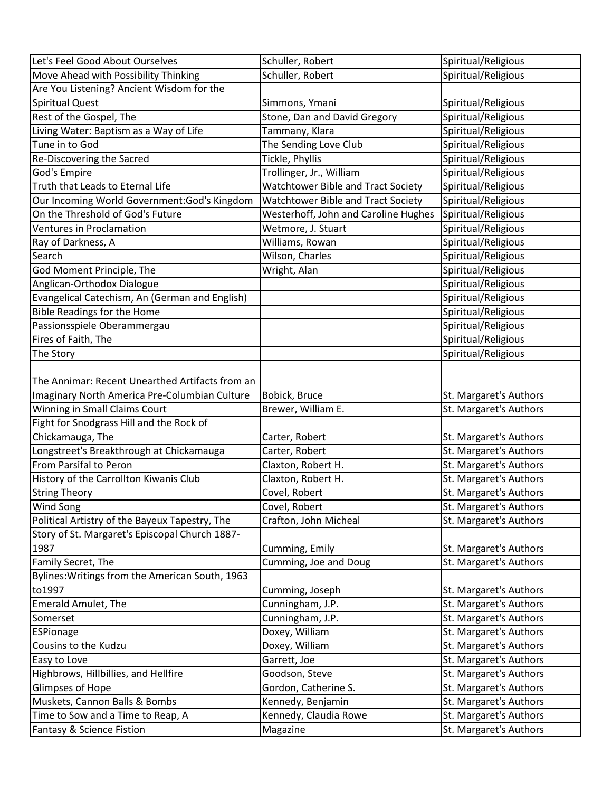| Let's Feel Good About Ourselves                 | Schuller, Robert                     | Spiritual/Religious    |
|-------------------------------------------------|--------------------------------------|------------------------|
| Move Ahead with Possibility Thinking            | Schuller, Robert                     | Spiritual/Religious    |
| Are You Listening? Ancient Wisdom for the       |                                      |                        |
| <b>Spiritual Quest</b>                          | Simmons, Ymani                       | Spiritual/Religious    |
| Rest of the Gospel, The                         | Stone, Dan and David Gregory         | Spiritual/Religious    |
| Living Water: Baptism as a Way of Life          | Tammany, Klara                       | Spiritual/Religious    |
| Tune in to God                                  | The Sending Love Club                | Spiritual/Religious    |
| Re-Discovering the Sacred                       | Tickle, Phyllis                      | Spiritual/Religious    |
| God's Empire                                    | Trollinger, Jr., William             | Spiritual/Religious    |
| Truth that Leads to Eternal Life                | Watchtower Bible and Tract Society   | Spiritual/Religious    |
| Our Incoming World Government: God's Kingdom    | Watchtower Bible and Tract Society   | Spiritual/Religious    |
| On the Threshold of God's Future                | Westerhoff, John and Caroline Hughes | Spiritual/Religious    |
| <b>Ventures in Proclamation</b>                 | Wetmore, J. Stuart                   | Spiritual/Religious    |
| Ray of Darkness, A                              | Williams, Rowan                      | Spiritual/Religious    |
| Search                                          | Wilson, Charles                      | Spiritual/Religious    |
| God Moment Principle, The                       | Wright, Alan                         | Spiritual/Religious    |
| Anglican-Orthodox Dialogue                      |                                      | Spiritual/Religious    |
| Evangelical Catechism, An (German and English)  |                                      | Spiritual/Religious    |
| <b>Bible Readings for the Home</b>              |                                      | Spiritual/Religious    |
| Passionsspiele Oberammergau                     |                                      | Spiritual/Religious    |
| Fires of Faith, The                             |                                      | Spiritual/Religious    |
| The Story                                       |                                      | Spiritual/Religious    |
|                                                 |                                      |                        |
| The Annimar: Recent Unearthed Artifacts from an |                                      |                        |
| Imaginary North America Pre-Columbian Culture   | Bobick, Bruce                        | St. Margaret's Authors |
| Winning in Small Claims Court                   | Brewer, William E.                   | St. Margaret's Authors |
| Fight for Snodgrass Hill and the Rock of        |                                      |                        |
| Chickamauga, The                                | Carter, Robert                       | St. Margaret's Authors |
| Longstreet's Breakthrough at Chickamauga        | Carter, Robert                       | St. Margaret's Authors |
| From Parsifal to Peron                          | Claxton, Robert H.                   | St. Margaret's Authors |
| History of the Carrollton Kiwanis Club          | Claxton, Robert H.                   | St. Margaret's Authors |
| <b>String Theory</b>                            | Covel, Robert                        | St. Margaret's Authors |
| <b>Wind Song</b>                                | Covel, Robert                        | St. Margaret's Authors |
| Political Artistry of the Bayeux Tapestry, The  | Crafton, John Micheal                | St. Margaret's Authors |
| Story of St. Margaret's Episcopal Church 1887-  |                                      |                        |
| 1987                                            | Cumming, Emily                       | St. Margaret's Authors |
| Family Secret, The                              | Cumming, Joe and Doug                | St. Margaret's Authors |
| Bylines: Writings from the American South, 1963 |                                      |                        |
| to1997                                          | Cumming, Joseph                      | St. Margaret's Authors |
| <b>Emerald Amulet, The</b>                      | Cunningham, J.P.                     | St. Margaret's Authors |
| Somerset                                        | Cunningham, J.P.                     | St. Margaret's Authors |
| ESPionage                                       | Doxey, William                       | St. Margaret's Authors |
| Cousins to the Kudzu                            | Doxey, William                       | St. Margaret's Authors |
| Easy to Love                                    | Garrett, Joe                         | St. Margaret's Authors |
| Highbrows, Hillbillies, and Hellfire            | Goodson, Steve                       | St. Margaret's Authors |
| Glimpses of Hope                                | Gordon, Catherine S.                 | St. Margaret's Authors |
| Muskets, Cannon Balls & Bombs                   | Kennedy, Benjamin                    | St. Margaret's Authors |
| Time to Sow and a Time to Reap, A               | Kennedy, Claudia Rowe                | St. Margaret's Authors |
| Fantasy & Science Fistion                       | Magazine                             | St. Margaret's Authors |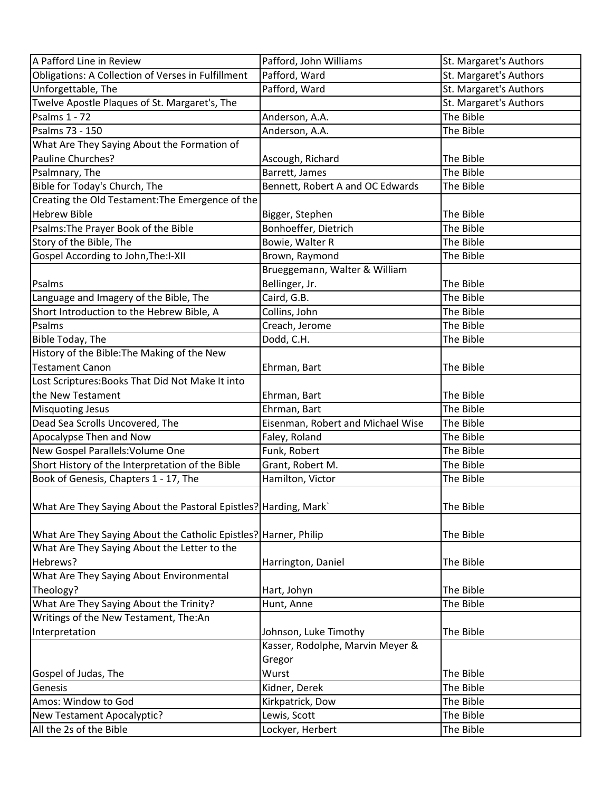| A Pafford Line in Review                                           | Pafford, John Williams            | St. Margaret's Authors |
|--------------------------------------------------------------------|-----------------------------------|------------------------|
| Obligations: A Collection of Verses in Fulfillment                 | Pafford, Ward                     | St. Margaret's Authors |
| Unforgettable, The                                                 | Pafford, Ward                     | St. Margaret's Authors |
| Twelve Apostle Plaques of St. Margaret's, The                      |                                   | St. Margaret's Authors |
| Psalms 1 - 72                                                      | Anderson, A.A.                    | The Bible              |
| Psalms 73 - 150                                                    | Anderson, A.A.                    | The Bible              |
| What Are They Saying About the Formation of                        |                                   |                        |
| Pauline Churches?                                                  | Ascough, Richard                  | The Bible              |
| Psalmnary, The                                                     | Barrett, James                    | The Bible              |
| Bible for Today's Church, The                                      | Bennett, Robert A and OC Edwards  | The Bible              |
| Creating the Old Testament: The Emergence of the                   |                                   |                        |
| <b>Hebrew Bible</b>                                                | Bigger, Stephen                   | The Bible              |
| Psalms: The Prayer Book of the Bible                               | Bonhoeffer, Dietrich              | The Bible              |
| Story of the Bible, The                                            | Bowie, Walter R                   | The Bible              |
| Gospel According to John, The: I-XII                               | Brown, Raymond                    | The Bible              |
|                                                                    | Brueggemann, Walter & William     |                        |
| Psalms                                                             | Bellinger, Jr.                    | The Bible              |
| Language and Imagery of the Bible, The                             | Caird, G.B.                       | The Bible              |
| Short Introduction to the Hebrew Bible, A                          | Collins, John                     | The Bible              |
| Psalms                                                             | Creach, Jerome                    | The Bible              |
| <b>Bible Today, The</b>                                            | Dodd, C.H.                        | The Bible              |
| History of the Bible: The Making of the New                        |                                   |                        |
| Testament Canon                                                    | Ehrman, Bart                      | The Bible              |
| Lost Scriptures: Books That Did Not Make It into                   |                                   |                        |
| the New Testament                                                  | Ehrman, Bart                      | The Bible              |
| <b>Misquoting Jesus</b>                                            | Ehrman, Bart                      | The Bible              |
| Dead Sea Scrolls Uncovered, The                                    | Eisenman, Robert and Michael Wise | The Bible              |
| Apocalypse Then and Now                                            | Faley, Roland                     | The Bible              |
| New Gospel Parallels: Volume One                                   | Funk, Robert                      | The Bible              |
| Short History of the Interpretation of the Bible                   | Grant, Robert M.                  | The Bible              |
| Book of Genesis, Chapters 1 - 17, The                              | Hamilton, Victor                  | The Bible              |
| What Are They Saying About the Pastoral Epistles?   Harding, Mark` |                                   | The Bible              |
| What Are They Saying About the Catholic Epistles?   Harner, Philip |                                   | The Bible              |
| What Are They Saying About the Letter to the                       |                                   |                        |
| Hebrews?                                                           | Harrington, Daniel                | The Bible              |
| What Are They Saying About Environmental                           |                                   |                        |
| Theology?                                                          | Hart, Johyn                       | The Bible              |
| What Are They Saying About the Trinity?                            | Hunt, Anne                        | The Bible              |
| Writings of the New Testament, The:An                              |                                   |                        |
| Interpretation                                                     | Johnson, Luke Timothy             | The Bible              |
|                                                                    | Kasser, Rodolphe, Marvin Meyer &  |                        |
|                                                                    | Gregor                            |                        |
| Gospel of Judas, The                                               | Wurst                             | The Bible              |
| Genesis                                                            | Kidner, Derek                     | The Bible              |
| Amos: Window to God                                                | Kirkpatrick, Dow                  | The Bible              |
| New Testament Apocalyptic?                                         | Lewis, Scott                      | The Bible              |
| All the 2s of the Bible                                            | Lockyer, Herbert                  | The Bible              |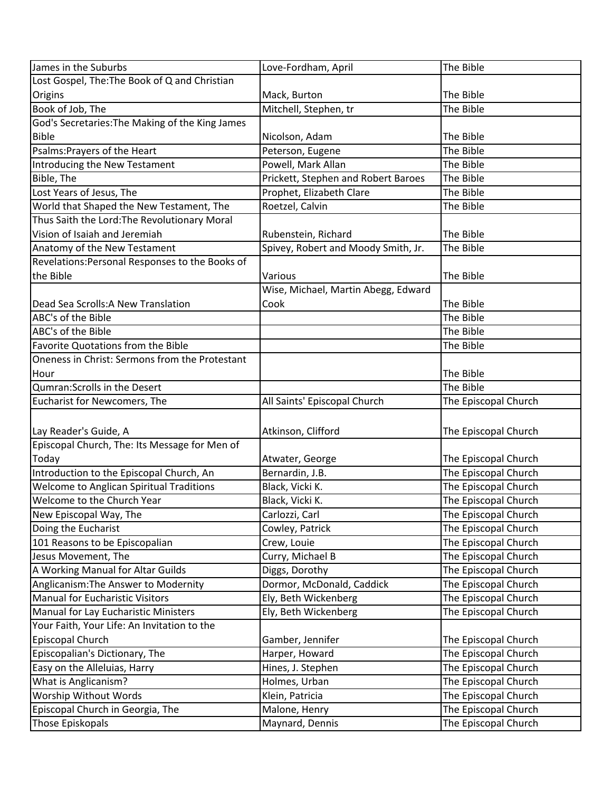| James in the Suburbs                            | Love-Fordham, April                 | The Bible            |
|-------------------------------------------------|-------------------------------------|----------------------|
| Lost Gospel, The: The Book of Q and Christian   |                                     |                      |
| Origins                                         | Mack, Burton                        | The Bible            |
| Book of Job, The                                | Mitchell, Stephen, tr               | The Bible            |
| God's Secretaries: The Making of the King James |                                     |                      |
| <b>Bible</b>                                    | Nicolson, Adam                      | The Bible            |
| Psalms: Prayers of the Heart                    | Peterson, Eugene                    | The Bible            |
| Introducing the New Testament                   | Powell, Mark Allan                  | The Bible            |
| Bible, The                                      | Prickett, Stephen and Robert Baroes | The Bible            |
| Lost Years of Jesus, The                        | Prophet, Elizabeth Clare            | The Bible            |
| World that Shaped the New Testament, The        | Roetzel, Calvin                     | The Bible            |
| Thus Saith the Lord: The Revolutionary Moral    |                                     |                      |
| Vision of Isaiah and Jeremiah                   | Rubenstein, Richard                 | The Bible            |
| Anatomy of the New Testament                    | Spivey, Robert and Moody Smith, Jr. | The Bible            |
| Revelations: Personal Responses to the Books of |                                     |                      |
| the Bible                                       | Various                             | The Bible            |
|                                                 | Wise, Michael, Martin Abegg, Edward |                      |
| Dead Sea Scrolls: A New Translation             | Cook                                | The Bible            |
| ABC's of the Bible                              |                                     | The Bible            |
| ABC's of the Bible                              |                                     | The Bible            |
| Favorite Quotations from the Bible              |                                     | The Bible            |
| Oneness in Christ: Sermons from the Protestant  |                                     |                      |
| Hour                                            |                                     | The Bible            |
| Qumran: Scrolls in the Desert                   |                                     | The Bible            |
| Eucharist for Newcomers, The                    | All Saints' Episcopal Church        | The Episcopal Church |
|                                                 |                                     |                      |
| Lay Reader's Guide, A                           | Atkinson, Clifford                  | The Episcopal Church |
| Episcopal Church, The: Its Message for Men of   |                                     |                      |
| Today                                           | Atwater, George                     | The Episcopal Church |
| Introduction to the Episcopal Church, An        | Bernardin, J.B.                     | The Episcopal Church |
| Welcome to Anglican Spiritual Traditions        | Black, Vicki K.                     | The Episcopal Church |
| Welcome to the Church Year                      | Black, Vicki K.                     | The Episcopal Church |
| New Episcopal Way, The                          | Carlozzi, Carl                      | The Episcopal Church |
| Doing the Eucharist                             | Cowley, Patrick                     | The Episcopal Church |
| 101 Reasons to be Episcopalian                  | Crew, Louie                         | The Episcopal Church |
| Jesus Movement, The                             | Curry, Michael B                    | The Episcopal Church |
| A Working Manual for Altar Guilds               | Diggs, Dorothy                      | The Episcopal Church |
| Anglicanism: The Answer to Modernity            | Dormor, McDonald, Caddick           | The Episcopal Church |
| Manual for Eucharistic Visitors                 | Ely, Beth Wickenberg                | The Episcopal Church |
| Manual for Lay Eucharistic Ministers            | Ely, Beth Wickenberg                | The Episcopal Church |
| Your Faith, Your Life: An Invitation to the     |                                     |                      |
| Episcopal Church                                | Gamber, Jennifer                    | The Episcopal Church |
| Episcopalian's Dictionary, The                  | Harper, Howard                      | The Episcopal Church |
| Easy on the Alleluias, Harry                    | Hines, J. Stephen                   | The Episcopal Church |
| What is Anglicanism?                            | Holmes, Urban                       | The Episcopal Church |
| Worship Without Words                           | Klein, Patricia                     | The Episcopal Church |
| Episcopal Church in Georgia, The                | Malone, Henry                       | The Episcopal Church |
| Those Episkopals                                | Maynard, Dennis                     | The Episcopal Church |
|                                                 |                                     |                      |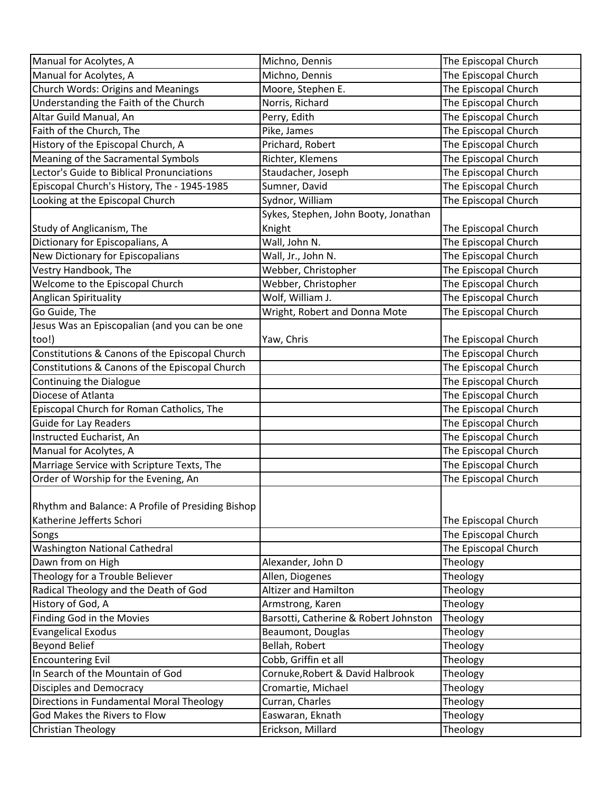| Manual for Acolytes, A                            | Michno, Dennis                        | The Episcopal Church |
|---------------------------------------------------|---------------------------------------|----------------------|
| Manual for Acolytes, A                            | Michno, Dennis                        | The Episcopal Church |
| Church Words: Origins and Meanings                | Moore, Stephen E.                     | The Episcopal Church |
| Understanding the Faith of the Church             | Norris, Richard                       | The Episcopal Church |
| Altar Guild Manual, An                            | Perry, Edith                          | The Episcopal Church |
| Faith of the Church, The                          | Pike, James                           | The Episcopal Church |
| History of the Episcopal Church, A                | Prichard, Robert                      | The Episcopal Church |
| Meaning of the Sacramental Symbols                | Richter, Klemens                      | The Episcopal Church |
| Lector's Guide to Biblical Pronunciations         | Staudacher, Joseph                    | The Episcopal Church |
| Episcopal Church's History, The - 1945-1985       | Sumner, David                         | The Episcopal Church |
| Looking at the Episcopal Church                   | Sydnor, William                       | The Episcopal Church |
|                                                   | Sykes, Stephen, John Booty, Jonathan  |                      |
| Study of Anglicanism, The                         | Knight                                | The Episcopal Church |
| Dictionary for Episcopalians, A                   | Wall, John N.                         | The Episcopal Church |
| New Dictionary for Episcopalians                  | Wall, Jr., John N.                    | The Episcopal Church |
| Vestry Handbook, The                              | Webber, Christopher                   | The Episcopal Church |
| Welcome to the Episcopal Church                   | Webber, Christopher                   | The Episcopal Church |
| Anglican Spirituality                             | Wolf, William J.                      | The Episcopal Church |
| Go Guide, The                                     | Wright, Robert and Donna Mote         | The Episcopal Church |
| Jesus Was an Episcopalian (and you can be one     |                                       |                      |
| too!)                                             | Yaw, Chris                            | The Episcopal Church |
| Constitutions & Canons of the Episcopal Church    |                                       | The Episcopal Church |
| Constitutions & Canons of the Episcopal Church    |                                       | The Episcopal Church |
| Continuing the Dialogue                           |                                       | The Episcopal Church |
| Diocese of Atlanta                                |                                       | The Episcopal Church |
| Episcopal Church for Roman Catholics, The         |                                       | The Episcopal Church |
| <b>Guide for Lay Readers</b>                      |                                       | The Episcopal Church |
| Instructed Eucharist, An                          |                                       | The Episcopal Church |
| Manual for Acolytes, A                            |                                       | The Episcopal Church |
| Marriage Service with Scripture Texts, The        |                                       | The Episcopal Church |
| Order of Worship for the Evening, An              |                                       | The Episcopal Church |
|                                                   |                                       |                      |
| Rhythm and Balance: A Profile of Presiding Bishop |                                       |                      |
| Katherine Jefferts Schori                         |                                       | The Episcopal Church |
| Songs                                             |                                       | The Episcopal Church |
| Washington National Cathedral                     |                                       | The Episcopal Church |
| Dawn from on High                                 | Alexander, John D                     | Theology             |
| Theology for a Trouble Believer                   | Allen, Diogenes                       | Theology             |
| Radical Theology and the Death of God             | <b>Altizer and Hamilton</b>           | Theology             |
| History of God, A                                 | Armstrong, Karen                      | Theology             |
| Finding God in the Movies                         | Barsotti, Catherine & Robert Johnston | Theology             |
| <b>Evangelical Exodus</b>                         | Beaumont, Douglas                     | Theology             |
| <b>Beyond Belief</b>                              | Bellah, Robert                        | Theology             |
| <b>Encountering Evil</b>                          | Cobb, Griffin et all                  | Theology             |
| In Search of the Mountain of God                  | Cornuke, Robert & David Halbrook      | Theology             |
| Disciples and Democracy                           | Cromartie, Michael                    | Theology             |
| Directions in Fundamental Moral Theology          | Curran, Charles                       | Theology             |
| God Makes the Rivers to Flow                      | Easwaran, Eknath                      | Theology             |
| Christian Theology                                | Erickson, Millard                     | Theology             |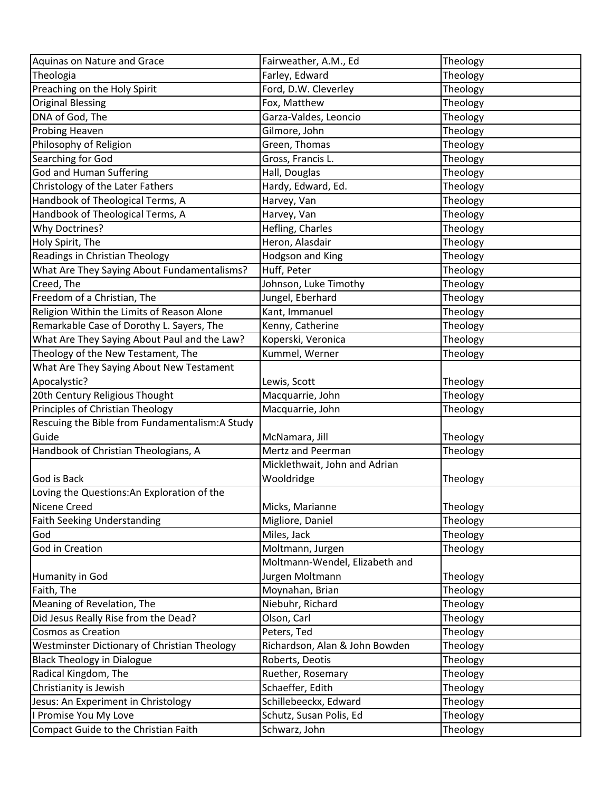| Aquinas on Nature and Grace                    | Fairweather, A.M., Ed          | Theology |
|------------------------------------------------|--------------------------------|----------|
| Theologia                                      | Farley, Edward                 | Theology |
| Preaching on the Holy Spirit                   | Ford, D.W. Cleverley           | Theology |
| <b>Original Blessing</b>                       | Fox, Matthew                   | Theology |
| DNA of God, The                                | Garza-Valdes, Leoncio          | Theology |
| Probing Heaven                                 | Gilmore, John                  | Theology |
| Philosophy of Religion                         | Green, Thomas                  | Theology |
| Searching for God                              | Gross, Francis L.              | Theology |
| <b>God and Human Suffering</b>                 | Hall, Douglas                  | Theology |
| Christology of the Later Fathers               | Hardy, Edward, Ed.             | Theology |
| Handbook of Theological Terms, A               | Harvey, Van                    | Theology |
| Handbook of Theological Terms, A               | Harvey, Van                    | Theology |
| Why Doctrines?                                 | Hefling, Charles               | Theology |
| Holy Spirit, The                               | Heron, Alasdair                | Theology |
| Readings in Christian Theology                 | <b>Hodgson and King</b>        | Theology |
| What Are They Saying About Fundamentalisms?    | Huff, Peter                    | Theology |
| Creed, The                                     | Johnson, Luke Timothy          | Theology |
| Freedom of a Christian, The                    | Jungel, Eberhard               | Theology |
| Religion Within the Limits of Reason Alone     | Kant, Immanuel                 | Theology |
| Remarkable Case of Dorothy L. Sayers, The      | Kenny, Catherine               | Theology |
| What Are They Saying About Paul and the Law?   | Koperski, Veronica             | Theology |
| Theology of the New Testament, The             | Kummel, Werner                 | Theology |
| What Are They Saying About New Testament       |                                |          |
| Apocalystic?                                   | Lewis, Scott                   | Theology |
| 20th Century Religious Thought                 | Macquarrie, John               | Theology |
| Principles of Christian Theology               | Macquarrie, John               | Theology |
| Rescuing the Bible from Fundamentalism:A Study |                                |          |
| Guide                                          | McNamara, Jill                 | Theology |
| Handbook of Christian Theologians, A           | Mertz and Peerman              | Theology |
|                                                | Micklethwait, John and Adrian  |          |
| God is Back                                    | Wooldridge                     | Theology |
| Loving the Questions: An Exploration of the    |                                |          |
| Nicene Creed                                   | Micks, Marianne                | Theology |
| <b>Faith Seeking Understanding</b>             | Migliore, Daniel               | Theology |
| God                                            | Miles, Jack                    | Theology |
| God in Creation                                | Moltmann, Jurgen               | Theology |
|                                                | Moltmann-Wendel, Elizabeth and |          |
| Humanity in God                                | Jurgen Moltmann                | Theology |
| Faith, The                                     | Moynahan, Brian                | Theology |
| Meaning of Revelation, The                     | Niebuhr, Richard               | Theology |
| Did Jesus Really Rise from the Dead?           | Olson, Carl                    | Theology |
| <b>Cosmos as Creation</b>                      | Peters, Ted                    | Theology |
| Westminster Dictionary of Christian Theology   | Richardson, Alan & John Bowden | Theology |
| <b>Black Theology in Dialogue</b>              | Roberts, Deotis                | Theology |
| Radical Kingdom, The                           | Ruether, Rosemary              | Theology |
| Christianity is Jewish                         | Schaeffer, Edith               | Theology |
| Jesus: An Experiment in Christology            | Schillebeeckx, Edward          | Theology |
| I Promise You My Love                          | Schutz, Susan Polis, Ed        | Theology |
| Compact Guide to the Christian Faith           | Schwarz, John                  | Theology |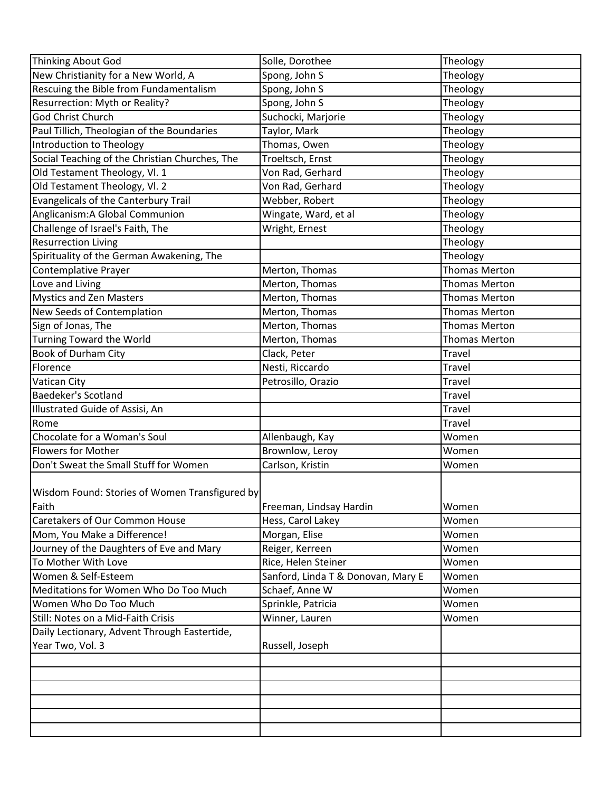| Thinking About God                             | Solle, Dorothee                    | Theology             |
|------------------------------------------------|------------------------------------|----------------------|
| New Christianity for a New World, A            | Spong, John S                      | Theology             |
| Rescuing the Bible from Fundamentalism         | Spong, John S                      | Theology             |
| Resurrection: Myth or Reality?                 | Spong, John S                      | Theology             |
| God Christ Church                              | Suchocki, Marjorie                 | Theology             |
| Paul Tillich, Theologian of the Boundaries     | Taylor, Mark                       | Theology             |
| Introduction to Theology                       | Thomas, Owen                       | Theology             |
| Social Teaching of the Christian Churches, The | Troeltsch, Ernst                   | Theology             |
| Old Testament Theology, Vl. 1                  | Von Rad, Gerhard                   | Theology             |
| Old Testament Theology, Vl. 2                  | Von Rad, Gerhard                   | Theology             |
| Evangelicals of the Canterbury Trail           | Webber, Robert                     | Theology             |
| Anglicanism: A Global Communion                | Wingate, Ward, et al               | Theology             |
| Challenge of Israel's Faith, The               | Wright, Ernest                     | Theology             |
| <b>Resurrection Living</b>                     |                                    | Theology             |
| Spirituality of the German Awakening, The      |                                    | Theology             |
| Contemplative Prayer                           | Merton, Thomas                     | <b>Thomas Merton</b> |
| Love and Living                                | Merton, Thomas                     | <b>Thomas Merton</b> |
| <b>Mystics and Zen Masters</b>                 | Merton, Thomas                     | <b>Thomas Merton</b> |
| New Seeds of Contemplation                     | Merton, Thomas                     | <b>Thomas Merton</b> |
| Sign of Jonas, The                             | Merton, Thomas                     | <b>Thomas Merton</b> |
| Turning Toward the World                       | Merton, Thomas                     | <b>Thomas Merton</b> |
| <b>Book of Durham City</b>                     | Clack, Peter                       | Travel               |
| Florence                                       | Nesti, Riccardo                    | Travel               |
| Vatican City                                   | Petrosillo, Orazio                 | Travel               |
| <b>Baedeker's Scotland</b>                     |                                    | Travel               |
| Illustrated Guide of Assisi, An                |                                    | Travel               |
| Rome                                           |                                    | Travel               |
| Chocolate for a Woman's Soul                   | Allenbaugh, Kay                    | Women                |
| <b>Flowers for Mother</b>                      | Brownlow, Leroy                    | Women                |
| Don't Sweat the Small Stuff for Women          | Carlson, Kristin                   | Women                |
| Wisdom Found: Stories of Women Transfigured by |                                    |                      |
| Faith                                          | Freeman, Lindsay Hardin            | Women                |
| <b>Caretakers of Our Common House</b>          | Hess, Carol Lakey                  | Women                |
| Mom, You Make a Difference!                    | Morgan, Elise                      | Women                |
| Journey of the Daughters of Eve and Mary       | Reiger, Kerreen                    | Women                |
| To Mother With Love                            | Rice, Helen Steiner                | Women                |
| Women & Self-Esteem                            | Sanford, Linda T & Donovan, Mary E | Women                |
| Meditations for Women Who Do Too Much          | Schaef, Anne W                     | Women                |
| Women Who Do Too Much                          | Sprinkle, Patricia                 | Women                |
| Still: Notes on a Mid-Faith Crisis             | Winner, Lauren                     | Women                |
| Daily Lectionary, Advent Through Eastertide,   |                                    |                      |
| Year Two, Vol. 3                               | Russell, Joseph                    |                      |
|                                                |                                    |                      |
|                                                |                                    |                      |
|                                                |                                    |                      |
|                                                |                                    |                      |
|                                                |                                    |                      |
|                                                |                                    |                      |